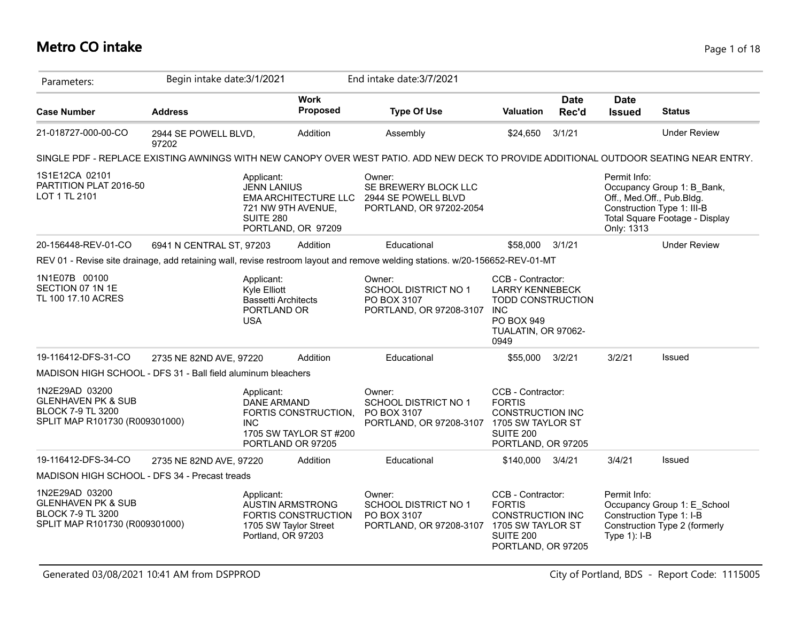### **Metro CO intake** Page 1 of 18

| Parameters:                                                                                                   | Begin intake date: 3/1/2021   |                                                                                       |                                                                         | End intake date: 3/7/2021                                                                                                             |                                                                                                                                    |                      |                              |                                                                                                                         |
|---------------------------------------------------------------------------------------------------------------|-------------------------------|---------------------------------------------------------------------------------------|-------------------------------------------------------------------------|---------------------------------------------------------------------------------------------------------------------------------------|------------------------------------------------------------------------------------------------------------------------------------|----------------------|------------------------------|-------------------------------------------------------------------------------------------------------------------------|
| <b>Case Number</b>                                                                                            | <b>Address</b>                |                                                                                       | <b>Work</b><br>Proposed                                                 | <b>Type Of Use</b>                                                                                                                    | <b>Valuation</b>                                                                                                                   | <b>Date</b><br>Rec'd | <b>Date</b><br><b>Issued</b> | <b>Status</b>                                                                                                           |
| 21-018727-000-00-CO                                                                                           | 2944 SE POWELL BLVD,<br>97202 |                                                                                       | Addition                                                                | Assembly                                                                                                                              | \$24,650                                                                                                                           | 3/1/21               |                              | <b>Under Review</b>                                                                                                     |
|                                                                                                               |                               |                                                                                       |                                                                         | SINGLE PDF - REPLACE EXISTING AWNINGS WITH NEW CANOPY OVER WEST PATIO. ADD NEW DECK TO PROVIDE ADDITIONAL OUTDOOR SEATING NEAR ENTRY. |                                                                                                                                    |                      |                              |                                                                                                                         |
| 1S1E12CA 02101<br>PARTITION PLAT 2016-50<br>LOT 1 TL 2101                                                     |                               | Applicant:<br><b>JENN LANIUS</b><br>SUITE 280                                         | <b>EMA ARCHITECTURE LLC</b><br>721 NW 9TH AVENUE,<br>PORTLAND, OR 97209 | Owner:<br>SE BREWERY BLOCK LLC<br>2944 SE POWELL BLVD<br>PORTLAND, OR 97202-2054                                                      |                                                                                                                                    |                      | Permit Info:<br>Only: 1313   | Occupancy Group 1: B_Bank,<br>Off., Med.Off., Pub.Bldg.<br>Construction Type 1: III-B<br>Total Square Footage - Display |
| 20-156448-REV-01-CO                                                                                           | 6941 N CENTRAL ST, 97203      |                                                                                       | Addition                                                                | Educational                                                                                                                           | \$58,000                                                                                                                           | 3/1/21               |                              | <b>Under Review</b>                                                                                                     |
|                                                                                                               |                               |                                                                                       |                                                                         | REV 01 - Revise site drainage, add retaining wall, revise restroom layout and remove welding stations. w/20-156652-REV-01-MT          |                                                                                                                                    |                      |                              |                                                                                                                         |
| 1N1E07B 00100<br>SECTION 07 1N 1E<br>TL 100 17.10 ACRES                                                       |                               | Applicant:<br>Kyle Elliott<br><b>Bassetti Architects</b><br>PORTLAND OR<br><b>USA</b> |                                                                         | Owner:<br><b>SCHOOL DISTRICT NO 1</b><br>PO BOX 3107<br>PORTLAND, OR 97208-3107                                                       | CCB - Contractor:<br><b>LARRY KENNEBECK</b><br><b>TODD CONSTRUCTION</b><br><b>INC</b><br>PO BOX 949<br>TUALATIN, OR 97062-<br>0949 |                      |                              |                                                                                                                         |
| 19-116412-DFS-31-CO                                                                                           | 2735 NE 82ND AVE, 97220       |                                                                                       | Addition                                                                | Educational                                                                                                                           | \$55,000                                                                                                                           | 3/2/21               | 3/2/21                       | Issued                                                                                                                  |
| MADISON HIGH SCHOOL - DFS 31 - Ball field aluminum bleachers                                                  |                               |                                                                                       |                                                                         |                                                                                                                                       |                                                                                                                                    |                      |                              |                                                                                                                         |
| 1N2E29AD 03200<br><b>GLENHAVEN PK &amp; SUB</b><br><b>BLOCK 7-9 TL 3200</b><br>SPLIT MAP R101730 (R009301000) |                               | Applicant:<br>DANE ARMAND<br><b>INC</b>                                               | FORTIS CONSTRUCTION,<br>1705 SW TAYLOR ST #200<br>PORTLAND OR 97205     | Owner:<br><b>SCHOOL DISTRICT NO 1</b><br>PO BOX 3107<br>PORTLAND, OR 97208-3107 1705 SW TAYLOR ST                                     | CCB - Contractor:<br><b>FORTIS</b><br><b>CONSTRUCTION INC</b><br><b>SUITE 200</b><br>PORTLAND, OR 97205                            |                      |                              |                                                                                                                         |
| 19-116412-DFS-34-CO                                                                                           | 2735 NE 82ND AVE, 97220       |                                                                                       | Addition                                                                | Educational                                                                                                                           | \$140,000                                                                                                                          | 3/4/21               | 3/4/21                       | <b>Issued</b>                                                                                                           |
| MADISON HIGH SCHOOL - DFS 34 - Precast treads                                                                 |                               |                                                                                       |                                                                         |                                                                                                                                       |                                                                                                                                    |                      |                              |                                                                                                                         |
| 1N2E29AD 03200<br><b>GLENHAVEN PK &amp; SUB</b><br><b>BLOCK 7-9 TL 3200</b><br>SPLIT MAP R101730 (R009301000) |                               | Applicant:<br>Portland, OR 97203                                                      | <b>AUSTIN ARMSTRONG</b><br>FORTIS CONSTRUCTION<br>1705 SW Taylor Street | Owner:<br><b>SCHOOL DISTRICT NO 1</b><br>PO BOX 3107<br>PORTLAND, OR 97208-3107 1705 SW TAYLOR ST                                     | CCB - Contractor:<br><b>FORTIS</b><br><b>CONSTRUCTION INC</b><br><b>SUITE 200</b><br>PORTLAND, OR 97205                            |                      | Permit Info:<br>Type 1): I-B | Occupancy Group 1: E_School<br>Construction Type 1: I-B<br>Construction Type 2 (formerly                                |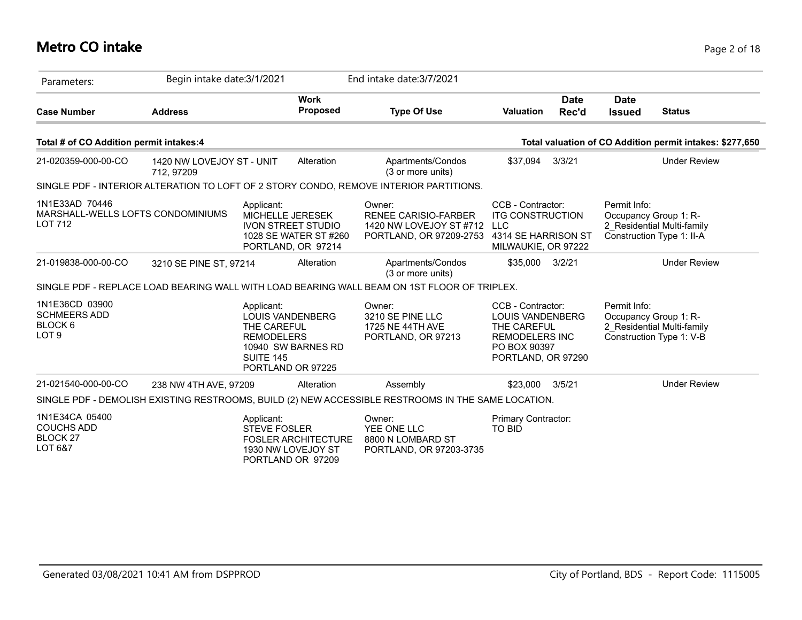# **Metro CO intake** Page 2 of 18

| Parameters:                                                                     | Begin intake date: 3/1/2021             |                                                                                                                                   | End intake date: 3/7/2021                                                                          |                                                                                                                            |                      |                              |                                                                                  |
|---------------------------------------------------------------------------------|-----------------------------------------|-----------------------------------------------------------------------------------------------------------------------------------|----------------------------------------------------------------------------------------------------|----------------------------------------------------------------------------------------------------------------------------|----------------------|------------------------------|----------------------------------------------------------------------------------|
| <b>Case Number</b>                                                              | <b>Address</b>                          | <b>Work</b><br>Proposed                                                                                                           | <b>Type Of Use</b>                                                                                 | <b>Valuation</b>                                                                                                           | <b>Date</b><br>Rec'd | <b>Date</b><br><b>Issued</b> | <b>Status</b>                                                                    |
| Total # of CO Addition permit intakes:4                                         |                                         |                                                                                                                                   |                                                                                                    |                                                                                                                            |                      |                              | Total valuation of CO Addition permit intakes: \$277,650                         |
| 21-020359-000-00-CO                                                             | 1420 NW LOVEJOY ST - UNIT<br>712, 97209 | Alteration                                                                                                                        | Apartments/Condos<br>(3 or more units)                                                             | \$37,094                                                                                                                   | 3/3/21               |                              | <b>Under Review</b>                                                              |
|                                                                                 |                                         |                                                                                                                                   | SINGLE PDF - INTERIOR ALTERATION TO LOFT OF 2 STORY CONDO, REMOVE INTERIOR PARTITIONS.             |                                                                                                                            |                      |                              |                                                                                  |
| 1N1E33AD 70446<br>MARSHALL-WELLS LOFTS CONDOMINIUMS<br><b>LOT 712</b>           |                                         | Applicant:<br>MICHELLE JERESEK<br><b>IVON STREET STUDIO</b><br>1028 SE WATER ST #260<br>PORTLAND, OR 97214                        | Owner:<br><b>RENEE CARISIO-FARBER</b><br>1420 NW LOVEJOY ST #712<br>PORTLAND, OR 97209-2753        | CCB - Contractor:<br><b>ITG CONSTRUCTION</b><br><b>LLC</b><br>4314 SE HARRISON ST<br>MILWAUKIE, OR 97222                   |                      | Permit Info:                 | Occupancy Group 1: R-<br>2 Residential Multi-family<br>Construction Type 1: II-A |
| 21-019838-000-00-CO                                                             | 3210 SE PINE ST, 97214                  | Alteration                                                                                                                        | Apartments/Condos<br>(3 or more units)                                                             | \$35,000                                                                                                                   | 3/2/21               |                              | <b>Under Review</b>                                                              |
|                                                                                 |                                         |                                                                                                                                   | SINGLE PDF - REPLACE LOAD BEARING WALL WITH LOAD BEARING WALL BEAM ON 1ST FLOOR OF TRIPLEX.        |                                                                                                                            |                      |                              |                                                                                  |
| 1N1E36CD 03900<br><b>SCHMEERS ADD</b><br>BLOCK <sub>6</sub><br>LOT <sub>9</sub> |                                         | Applicant:<br><b>LOUIS VANDENBERG</b><br>THE CAREFUL<br><b>REMODELERS</b><br>10940 SW BARNES RD<br>SUITE 145<br>PORTLAND OR 97225 | Owner:<br>3210 SE PINE LLC<br>1725 NE 44TH AVE<br>PORTLAND, OR 97213                               | CCB - Contractor:<br><b>LOUIS VANDENBERG</b><br>THE CAREFUL<br><b>REMODELERS INC</b><br>PO BOX 90397<br>PORTLAND, OR 97290 |                      | Permit Info:                 | Occupancy Group 1: R-<br>2 Residential Multi-family<br>Construction Type 1: V-B  |
| 21-021540-000-00-CO                                                             | 238 NW 4TH AVE, 97209                   | Alteration                                                                                                                        | Assembly                                                                                           | \$23,000                                                                                                                   | 3/5/21               |                              | <b>Under Review</b>                                                              |
|                                                                                 |                                         |                                                                                                                                   | SINGLE PDF - DEMOLISH EXISTING RESTROOMS, BUILD (2) NEW ACCESSIBLE RESTROOMS IN THE SAME LOCATION. |                                                                                                                            |                      |                              |                                                                                  |
| 1N1E34CA 05400<br><b>COUCHS ADD</b><br><b>BLOCK 27</b><br>LOT 6&7               |                                         | Applicant:<br><b>STEVE FOSLER</b><br><b>FOSLER ARCHITECTURE</b><br>1930 NW LOVEJOY ST<br>PORTLAND OR 97209                        | Owner:<br>YEE ONE LLC<br>8800 N LOMBARD ST<br>PORTLAND, OR 97203-3735                              | Primary Contractor:<br>TO BID                                                                                              |                      |                              |                                                                                  |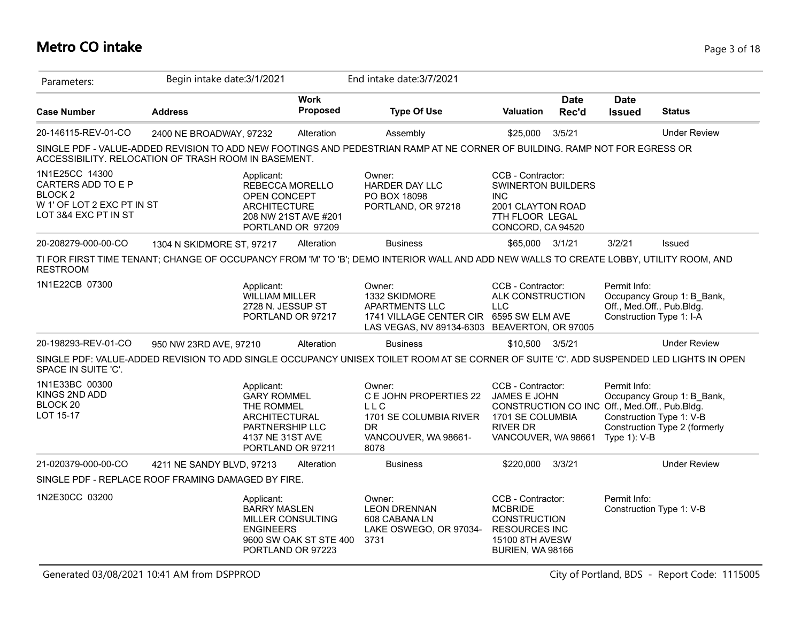# **Metro CO intake** Page 3 of 18

| Parameters:                                                                                                      | Begin intake date: 3/1/2021                                                                                                                                                        |                                                                  | End intake date: 3/7/2021                                                                                                            |                                                                                                                                                  |                      |                              |                                                                                         |
|------------------------------------------------------------------------------------------------------------------|------------------------------------------------------------------------------------------------------------------------------------------------------------------------------------|------------------------------------------------------------------|--------------------------------------------------------------------------------------------------------------------------------------|--------------------------------------------------------------------------------------------------------------------------------------------------|----------------------|------------------------------|-----------------------------------------------------------------------------------------|
| <b>Case Number</b>                                                                                               | <b>Address</b>                                                                                                                                                                     | <b>Work</b><br><b>Proposed</b>                                   | <b>Type Of Use</b>                                                                                                                   | <b>Valuation</b>                                                                                                                                 | <b>Date</b><br>Rec'd | <b>Date</b><br><b>Issued</b> | <b>Status</b>                                                                           |
| 20-146115-REV-01-CO                                                                                              | 2400 NE BROADWAY, 97232                                                                                                                                                            | Alteration                                                       | Assembly                                                                                                                             | \$25,000                                                                                                                                         | 3/5/21               |                              | <b>Under Review</b>                                                                     |
|                                                                                                                  | SINGLE PDF - VALUE-ADDED REVISION TO ADD NEW FOOTINGS AND PEDESTRIAN RAMP AT NE CORNER OF BUILDING. RAMP NOT FOR EGRESS OR<br>ACCESSIBILITY. RELOCATION OF TRASH ROOM IN BASEMENT. |                                                                  |                                                                                                                                      |                                                                                                                                                  |                      |                              |                                                                                         |
| 1N1E25CC 14300<br>CARTERS ADD TO E P<br>BLOCK <sub>2</sub><br>W 1' OF LOT 2 EXC PT IN ST<br>LOT 3&4 EXC PT IN ST | Applicant:<br>OPEN CONCEPT<br><b>ARCHITECTURE</b>                                                                                                                                  | REBECCA MORELLO<br>208 NW 21ST AVE #201<br>PORTLAND OR 97209     | Owner:<br><b>HARDER DAY LLC</b><br>PO BOX 18098<br>PORTLAND, OR 97218                                                                | CCB - Contractor:<br><b>SWINERTON BUILDERS</b><br><b>INC</b><br>2001 CLAYTON ROAD<br>7TH FLOOR LEGAL<br>CONCORD, CA 94520                        |                      |                              |                                                                                         |
| 20-208279-000-00-CO                                                                                              | 1304 N SKIDMORE ST, 97217                                                                                                                                                          | Alteration                                                       | <b>Business</b>                                                                                                                      | \$65,000 3/1/21                                                                                                                                  |                      | 3/2/21                       | Issued                                                                                  |
| <b>RESTROOM</b>                                                                                                  | TI FOR FIRST TIME TENANT; CHANGE OF OCCUPANCY FROM 'M' TO 'B'; DEMO INTERIOR WALL AND ADD NEW WALLS TO CREATE LOBBY, UTILITY ROOM, AND                                             |                                                                  |                                                                                                                                      |                                                                                                                                                  |                      |                              |                                                                                         |
| 1N1E22CB 07300                                                                                                   | Applicant:<br><b>WILLIAM MILLER</b><br>2728 N. JESSUP ST                                                                                                                           | PORTLAND OR 97217                                                | Owner:<br>1332 SKIDMORE<br>APARTMENTS LLC<br>1741 VILLAGE CENTER CIR 6595 SW ELM AVE<br>LAS VEGAS, NV 89134-6303 BEAVERTON, OR 97005 | CCB - Contractor:<br>ALK CONSTRUCTION<br><b>LLC</b>                                                                                              |                      | Permit Info:                 | Occupancy Group 1: B Bank,<br>Off., Med.Off., Pub.Bldg.<br>Construction Type 1: I-A     |
| 20-198293-REV-01-CO                                                                                              | 950 NW 23RD AVE, 97210                                                                                                                                                             | Alteration                                                       | <b>Business</b>                                                                                                                      | \$10,500 3/5/21                                                                                                                                  |                      |                              | <b>Under Review</b>                                                                     |
| SPACE IN SUITE 'C'.                                                                                              | SINGLE PDF: VALUE-ADDED REVISION TO ADD SINGLE OCCUPANCY UNISEX TOILET ROOM AT SE CORNER OF SUITE 'C'. ADD SUSPENDED LED LIGHTS IN OPEN                                            |                                                                  |                                                                                                                                      |                                                                                                                                                  |                      |                              |                                                                                         |
| 1N1E33BC 00300<br>KINGS 2ND ADD<br>BLOCK 20<br>LOT 15-17                                                         | Applicant:<br><b>GARY ROMMEL</b><br>THE ROMMEL<br><b>ARCHITECTURAL</b><br><b>PARTNERSHIP LLC</b><br>4137 NE 31ST AVE                                                               | PORTLAND OR 97211                                                | Owner:<br>C E JOHN PROPERTIES 22<br><b>LLC</b><br>1701 SE COLUMBIA RIVER<br><b>DR</b><br>VANCOUVER, WA 98661-<br>8078                | CCB - Contractor:<br>JAMES E JOHN<br>CONSTRUCTION CO INC Off., Med.Off., Pub.Bldg.<br>1701 SE COLUMBIA<br><b>RIVER DR</b><br>VANCOUVER, WA 98661 |                      | Permit Info:<br>Type 1): V-B | Occupancy Group 1: B_Bank,<br>Construction Type 1: V-B<br>Construction Type 2 (formerly |
| 21-020379-000-00-CO                                                                                              | 4211 NE SANDY BLVD, 97213                                                                                                                                                          | Alteration                                                       | <b>Business</b>                                                                                                                      | \$220,000                                                                                                                                        | 3/3/21               |                              | <b>Under Review</b>                                                                     |
|                                                                                                                  | SINGLE PDF - REPLACE ROOF FRAMING DAMAGED BY FIRE.                                                                                                                                 |                                                                  |                                                                                                                                      |                                                                                                                                                  |                      |                              |                                                                                         |
| 1N2E30CC 03200                                                                                                   | Applicant:<br><b>BARRY MASLEN</b><br><b>ENGINEERS</b>                                                                                                                              | MILLER CONSULTING<br>9600 SW OAK ST STE 400<br>PORTLAND OR 97223 | Owner:<br><b>LEON DRENNAN</b><br>608 CABANA LN<br>LAKE OSWEGO, OR 97034-<br>3731                                                     | CCB - Contractor:<br><b>MCBRIDE</b><br><b>CONSTRUCTION</b><br><b>RESOURCES INC</b><br>15100 8TH AVESW<br>BURIEN, WA 98166                        |                      | Permit Info:                 | Construction Type 1: V-B                                                                |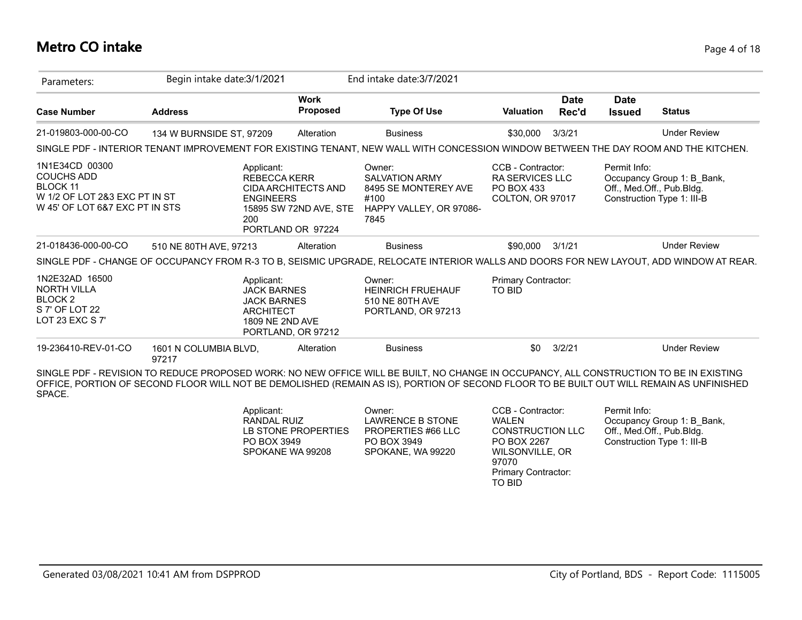### **Metro CO intake** Page 4 of 18

| Parameters:                                                                                                               | Begin intake date: 3/1/2021    |                                                                                                                            |                                | End intake date: 3/7/2021                                                                                                                                                                                                                                                          |                                                                               |                      |                              |                                                                                       |
|---------------------------------------------------------------------------------------------------------------------------|--------------------------------|----------------------------------------------------------------------------------------------------------------------------|--------------------------------|------------------------------------------------------------------------------------------------------------------------------------------------------------------------------------------------------------------------------------------------------------------------------------|-------------------------------------------------------------------------------|----------------------|------------------------------|---------------------------------------------------------------------------------------|
| <b>Case Number</b>                                                                                                        | <b>Address</b>                 |                                                                                                                            | <b>Work</b><br><b>Proposed</b> | <b>Type Of Use</b>                                                                                                                                                                                                                                                                 | <b>Valuation</b>                                                              | <b>Date</b><br>Rec'd | <b>Date</b><br><b>Issued</b> | <b>Status</b>                                                                         |
| 21-019803-000-00-CO                                                                                                       | 134 W BURNSIDE ST, 97209       |                                                                                                                            | Alteration                     | <b>Business</b>                                                                                                                                                                                                                                                                    | \$30,000                                                                      | 3/3/21               |                              | <b>Under Review</b>                                                                   |
|                                                                                                                           |                                |                                                                                                                            |                                | SINGLE PDF - INTERIOR TENANT IMPROVEMENT FOR EXISTING TENANT, NEW WALL WITH CONCESSION WINDOW BETWEEN THE DAY ROOM AND THE KITCHEN.                                                                                                                                                |                                                                               |                      |                              |                                                                                       |
| 1N1E34CD 00300<br><b>COUCHS ADD</b><br><b>BLOCK 11</b><br>W 1/2 OF LOT 2&3 EXC PT IN ST<br>W 45' OF LOT 6&7 EXC PT IN STS |                                | Applicant:<br><b>REBECCA KERR</b><br>CIDA ARCHITECTS AND<br><b>ENGINEERS</b><br>200<br>PORTLAND OR 97224                   | 15895 SW 72ND AVE, STE         | Owner:<br><b>SALVATION ARMY</b><br>8495 SE MONTEREY AVE<br>#100<br>HAPPY VALLEY, OR 97086-<br>7845                                                                                                                                                                                 | CCB - Contractor:<br><b>RA SERVICES LLC</b><br>PO BOX 433<br>COLTON, OR 97017 |                      | Permit Info:                 | Occupancy Group 1: B_Bank,<br>Off., Med.Off., Pub.Bldg.<br>Construction Type 1: III-B |
| 21-018436-000-00-CO                                                                                                       | 510 NE 80TH AVE, 97213         |                                                                                                                            | Alteration                     | <b>Business</b>                                                                                                                                                                                                                                                                    | \$90,000                                                                      | 3/1/21               |                              | <b>Under Review</b>                                                                   |
|                                                                                                                           |                                |                                                                                                                            |                                | SINGLE PDF - CHANGE OF OCCUPANCY FROM R-3 TO B, SEISMIC UPGRADE, RELOCATE INTERIOR WALLS AND DOORS FOR NEW LAYOUT, ADD WINDOW AT REAR.                                                                                                                                             |                                                                               |                      |                              |                                                                                       |
| 1N2E32AD 16500<br><b>NORTH VILLA</b><br>BLOCK <sub>2</sub><br>S 7' OF LOT 22<br>LOT 23 EXC S 7'                           |                                | Applicant:<br><b>JACK BARNES</b><br><b>JACK BARNES</b><br><b>ARCHITECT</b><br><b>1809 NE 2ND AVE</b><br>PORTLAND, OR 97212 |                                | Owner:<br><b>HEINRICH FRUEHAUF</b><br>510 NE 80TH AVE<br>PORTLAND, OR 97213                                                                                                                                                                                                        | Primary Contractor:<br><b>TO BID</b>                                          |                      |                              |                                                                                       |
|                                                                                                                           | 1601 N COLUMBIA BLVD,<br>97217 |                                                                                                                            | Alteration                     | <b>Business</b>                                                                                                                                                                                                                                                                    | \$0                                                                           | 3/2/21               |                              | <b>Under Review</b>                                                                   |
| 19-236410-REV-01-CO<br>SPACE.                                                                                             |                                |                                                                                                                            |                                | SINGLE PDF - REVISION TO REDUCE PROPOSED WORK: NO NEW OFFICE WILL BE BUILT, NO CHANGE IN OCCUPANCY, ALL CONSTRUCTION TO BE IN EXISTING<br>OFFICE, PORTION OF SECOND FLOOR WILL NOT BE DEMOLISHED (REMAIN AS IS), PORTION OF SECOND FLOOR TO BE BUILT OUT WILL REMAIN AS UNFINISHED |                                                                               |                      |                              |                                                                                       |

| Applicant:<br>Owner:<br>LAWRENCE B STONE<br>RANDAL RUIZ<br>LB STONE PROPERTIES<br>PROPERTIES #66 LLC<br>PO BOX 3949<br>PO BOX 3949<br>SPOKANE WA 99208<br>SPOKANE, WA 99220 | CCB - Contractor:<br>WAI FN<br><b>CONSTRUCTION LLC</b><br>PO BOX 2267<br>WILSONVILLE, OR<br>97070<br><b>Primary Contractor:</b><br>TO BID | Permit Info:<br>Occupancy Group 1: B Bank,<br>Off., Med.Off., Pub.Bldg.<br>Construction Type 1: III-B |
|-----------------------------------------------------------------------------------------------------------------------------------------------------------------------------|-------------------------------------------------------------------------------------------------------------------------------------------|-------------------------------------------------------------------------------------------------------|
|-----------------------------------------------------------------------------------------------------------------------------------------------------------------------------|-------------------------------------------------------------------------------------------------------------------------------------------|-------------------------------------------------------------------------------------------------------|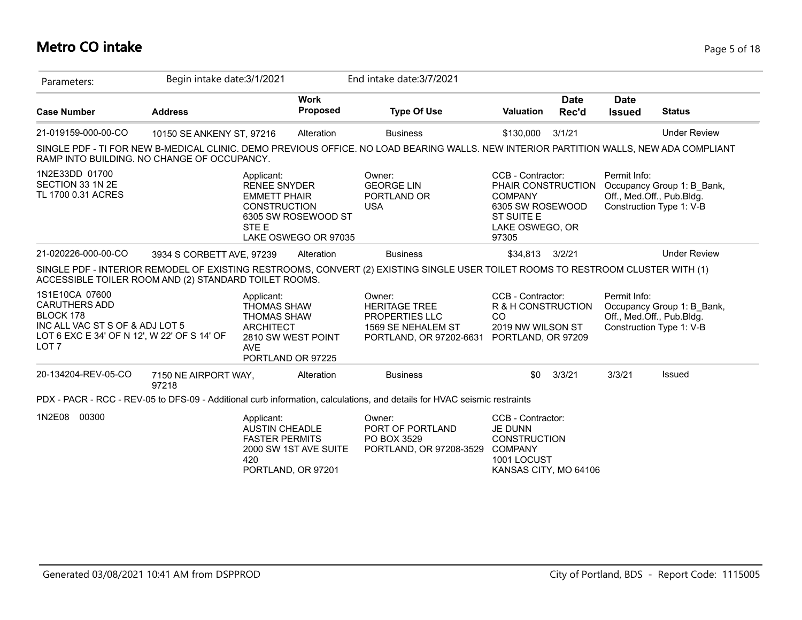# **Metro CO intake** Page 5 of 18

| Parameters:                                                                                                                                               | Begin intake date: 3/1/2021   |                                                                                                                                     |                                             | End intake date: 3/7/2021                                                                                                              |                                                                                                                                |                      |                                           |                                                                                     |
|-----------------------------------------------------------------------------------------------------------------------------------------------------------|-------------------------------|-------------------------------------------------------------------------------------------------------------------------------------|---------------------------------------------|----------------------------------------------------------------------------------------------------------------------------------------|--------------------------------------------------------------------------------------------------------------------------------|----------------------|-------------------------------------------|-------------------------------------------------------------------------------------|
| <b>Case Number</b>                                                                                                                                        | <b>Address</b>                |                                                                                                                                     | <b>Work</b><br>Proposed                     | <b>Type Of Use</b>                                                                                                                     | <b>Valuation</b>                                                                                                               | <b>Date</b><br>Rec'd | <b>Date</b><br><b>Issued</b>              | <b>Status</b>                                                                       |
| 21-019159-000-00-CO                                                                                                                                       | 10150 SE ANKENY ST, 97216     |                                                                                                                                     | Alteration                                  | <b>Business</b>                                                                                                                        | \$130,000                                                                                                                      | 3/1/21               |                                           | <b>Under Review</b>                                                                 |
| RAMP INTO BUILDING. NO CHANGE OF OCCUPANCY.                                                                                                               |                               |                                                                                                                                     |                                             | SINGLE PDF - TI FOR NEW B-MEDICAL CLINIC. DEMO PREVIOUS OFFICE. NO LOAD BEARING WALLS. NEW INTERIOR PARTITION WALLS, NEW ADA COMPLIANT |                                                                                                                                |                      |                                           |                                                                                     |
| 1N2E33DD 01700<br>SECTION 33 1N 2E<br>TL 1700 0.31 ACRES                                                                                                  |                               | Applicant:<br><b>RENEE SNYDER</b><br><b>EMMETT PHAIR</b><br><b>CONSTRUCTION</b><br>STE E                                            | 6305 SW ROSEWOOD ST<br>LAKE OSWEGO OR 97035 | Owner:<br><b>GEORGE LIN</b><br>PORTLAND OR<br><b>USA</b>                                                                               | CCB - Contractor:<br>PHAIR CONSTRUCTION<br><b>COMPANY</b><br>6305 SW ROSEWOOD<br><b>ST SUITE E</b><br>LAKE OSWEGO, OR<br>97305 |                      | Permit Info:<br>Off., Med.Off., Pub.Bldg. | Occupancy Group 1: B_Bank,<br>Construction Type 1: V-B                              |
| 21-020226-000-00-CO                                                                                                                                       | 3934 S CORBETT AVE, 97239     |                                                                                                                                     | Alteration                                  | <b>Business</b>                                                                                                                        | \$34,813                                                                                                                       | 3/2/21               |                                           | <b>Under Review</b>                                                                 |
| ACCESSIBLE TOILER ROOM AND (2) STANDARD TOILET ROOMS.                                                                                                     |                               |                                                                                                                                     |                                             | SINGLE PDF - INTERIOR REMODEL OF EXISTING RESTROOMS, CONVERT (2) EXISTING SINGLE USER TOILET ROOMS TO RESTROOM CLUSTER WITH (1)        |                                                                                                                                |                      |                                           |                                                                                     |
| 1S1E10CA 07600<br><b>CARUTHERS ADD</b><br>BLOCK 178<br>INC ALL VAC ST S OF & ADJ LOT 5<br>LOT 6 EXC E 34' OF N 12', W 22' OF S 14' OF<br>LOT <sub>7</sub> |                               | Applicant:<br><b>THOMAS SHAW</b><br><b>THOMAS SHAW</b><br><b>ARCHITECT</b><br>2810 SW WEST POINT<br><b>AVE</b><br>PORTLAND OR 97225 |                                             | Owner:<br><b>HERITAGE TREE</b><br>PROPERTIES LLC<br>1569 SE NEHALEM ST<br>PORTLAND, OR 97202-6631                                      | CCB - Contractor:<br>R & H CONSTRUCTION<br><b>CO</b><br>2019 NW WILSON ST<br>PORTLAND, OR 97209                                |                      | Permit Info:                              | Occupancy Group 1: B_Bank,<br>Off., Med.Off., Pub.Bldg.<br>Construction Type 1: V-B |
| 20-134204-REV-05-CO                                                                                                                                       | 7150 NE AIRPORT WAY,<br>97218 |                                                                                                                                     | Alteration                                  | <b>Business</b>                                                                                                                        | \$0                                                                                                                            | 3/3/21               | 3/3/21                                    | Issued                                                                              |
|                                                                                                                                                           |                               |                                                                                                                                     |                                             | PDX - PACR - RCC - REV-05 to DFS-09 - Additional curb information, calculations, and details for HVAC seismic restraints               |                                                                                                                                |                      |                                           |                                                                                     |
| 00300<br>1N2E08                                                                                                                                           |                               | Applicant:<br><b>AUSTIN CHEADLE</b><br><b>FASTER PERMITS</b><br>420<br>PORTLAND, OR 97201                                           | 2000 SW 1ST AVE SUITE                       | Owner:<br>PORT OF PORTLAND<br>PO BOX 3529<br>PORTLAND, OR 97208-3529                                                                   | CCB - Contractor:<br><b>JE DUNN</b><br><b>CONSTRUCTION</b><br><b>COMPANY</b><br>1001 LOCUST<br>KANSAS CITY, MO 64106           |                      |                                           |                                                                                     |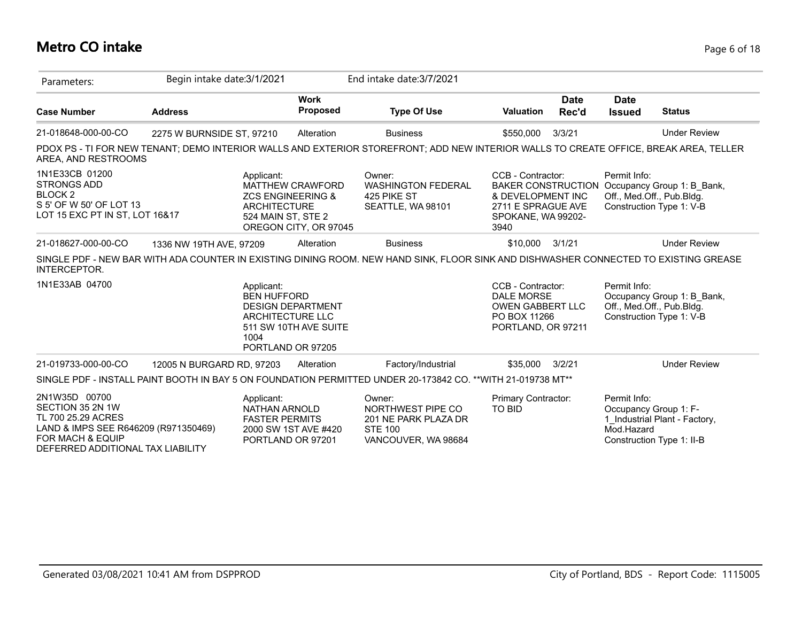# **Metro CO intake** Page 6 of 18

| Parameters:                                                                                                                                                         | Begin intake date: 3/1/2021 |                                                             |                                                                                                   | End intake date: 3/7/2021                                                                                                             |                                                                                                         |                      |                                                     |                                                                                                        |
|---------------------------------------------------------------------------------------------------------------------------------------------------------------------|-----------------------------|-------------------------------------------------------------|---------------------------------------------------------------------------------------------------|---------------------------------------------------------------------------------------------------------------------------------------|---------------------------------------------------------------------------------------------------------|----------------------|-----------------------------------------------------|--------------------------------------------------------------------------------------------------------|
| <b>Case Number</b>                                                                                                                                                  | <b>Address</b>              |                                                             | <b>Work</b><br><b>Proposed</b>                                                                    | <b>Type Of Use</b>                                                                                                                    | <b>Valuation</b>                                                                                        | <b>Date</b><br>Rec'd | <b>Date</b><br><b>Issued</b>                        | <b>Status</b>                                                                                          |
| 21-018648-000-00-CO                                                                                                                                                 | 2275 W BURNSIDE ST, 97210   |                                                             | Alteration                                                                                        | <b>Business</b>                                                                                                                       | \$550,000                                                                                               | 3/3/21               |                                                     | <b>Under Review</b>                                                                                    |
| AREA, AND RESTROOMS                                                                                                                                                 |                             |                                                             |                                                                                                   | PDOX PS - TI FOR NEW TENANT; DEMO INTERIOR WALLS AND EXTERIOR STOREFRONT; ADD NEW INTERIOR WALLS TO CREATE OFFICE, BREAK AREA, TELLER |                                                                                                         |                      |                                                     |                                                                                                        |
| 1N1E33CB 01200<br><b>STRONGS ADD</b><br>BLOCK <sub>2</sub><br>S 5' OF W 50' OF LOT 13<br>LOT 15 EXC PT IN ST, LOT 16&17                                             |                             | Applicant:<br><b>ARCHITECTURE</b><br>524 MAIN ST, STE 2     | MATTHEW CRAWFORD<br><b>ZCS ENGINEERING &amp;</b><br>OREGON CITY, OR 97045                         | Owner:<br><b>WASHINGTON FEDERAL</b><br>425 PIKE ST<br>SEATTLE, WA 98101                                                               | CCB - Contractor:<br>& DEVELOPMENT INC<br>2711 E SPRAGUE AVE<br>SPOKANE, WA 99202-<br>3940              |                      | Permit Info:                                        | BAKER CONSTRUCTION Occupancy Group 1: B_Bank,<br>Off., Med.Off., Pub.Bldg.<br>Construction Type 1: V-B |
| 21-018627-000-00-CO                                                                                                                                                 | 1336 NW 19TH AVE, 97209     |                                                             | Alteration                                                                                        | <b>Business</b>                                                                                                                       | \$10,000                                                                                                | 3/1/21               |                                                     | <b>Under Review</b>                                                                                    |
| <b>INTERCEPTOR.</b>                                                                                                                                                 |                             |                                                             |                                                                                                   | SINGLE PDF - NEW BAR WITH ADA COUNTER IN EXISTING DINING ROOM. NEW HAND SINK, FLOOR SINK AND DISHWASHER CONNECTED TO EXISTING GREASE  |                                                                                                         |                      |                                                     |                                                                                                        |
| 1N1E33AB 04700                                                                                                                                                      |                             | Applicant:<br><b>BEN HUFFORD</b><br>1004                    | <b>DESIGN DEPARTMENT</b><br><b>ARCHITECTURE LLC</b><br>511 SW 10TH AVE SUITE<br>PORTLAND OR 97205 |                                                                                                                                       | CCB - Contractor:<br><b>DALE MORSE</b><br><b>OWEN GABBERT LLC</b><br>PO BOX 11266<br>PORTLAND, OR 97211 |                      | Permit Info:                                        | Occupancy Group 1: B Bank,<br>Off., Med.Off., Pub.Bldg.<br>Construction Type 1: V-B                    |
| 21-019733-000-00-CO                                                                                                                                                 | 12005 N BURGARD RD, 97203   |                                                             | Alteration                                                                                        | Factory/Industrial                                                                                                                    | \$35,000                                                                                                | 3/2/21               |                                                     | <b>Under Review</b>                                                                                    |
|                                                                                                                                                                     |                             |                                                             |                                                                                                   | SINGLE PDF - INSTALL PAINT BOOTH IN BAY 5 ON FOUNDATION PERMITTED UNDER 20-173842 CO. ** WITH 21-019738 MT**                          |                                                                                                         |                      |                                                     |                                                                                                        |
| 2N1W35D 00700<br>SECTION 35 2N 1W<br>TL 700 25.29 ACRES<br>LAND & IMPS SEE R646209 (R971350469)<br><b>FOR MACH &amp; EQUIP</b><br>DEFERRED ADDITIONAL TAX LIABILITY |                             | Applicant:<br><b>NATHAN ARNOLD</b><br><b>FASTER PERMITS</b> | 2000 SW 1ST AVE #420<br>PORTLAND OR 97201                                                         | Owner:<br>NORTHWEST PIPE CO<br>201 NE PARK PLAZA DR<br><b>STE 100</b><br>VANCOUVER, WA 98684                                          | <b>Primary Contractor:</b><br><b>TO BID</b>                                                             |                      | Permit Info:<br>Occupancy Group 1: F-<br>Mod.Hazard | 1 Industrial Plant - Factory,<br>Construction Type 1: II-B                                             |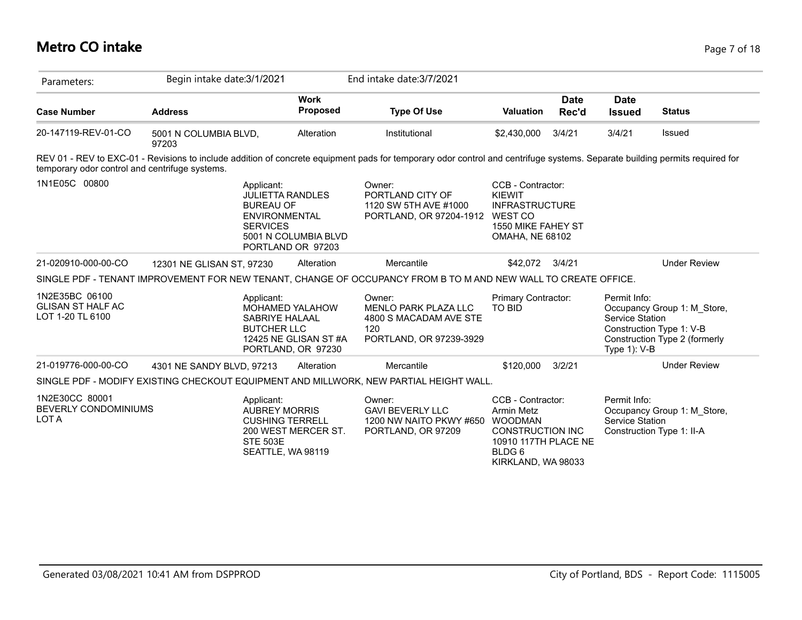# **Metro CO intake** Page 7 of 18

| Parameters:                                                    | Begin intake date: 3/1/2021    |                                                                                                                                                   | End intake date: 3/7/2021                                                                                                                                                   |                                                                                                                               |                      |                                                    |                                                                                          |
|----------------------------------------------------------------|--------------------------------|---------------------------------------------------------------------------------------------------------------------------------------------------|-----------------------------------------------------------------------------------------------------------------------------------------------------------------------------|-------------------------------------------------------------------------------------------------------------------------------|----------------------|----------------------------------------------------|------------------------------------------------------------------------------------------|
| <b>Case Number</b>                                             | <b>Address</b>                 | <b>Work</b><br>Proposed                                                                                                                           | <b>Type Of Use</b>                                                                                                                                                          | <b>Valuation</b>                                                                                                              | <b>Date</b><br>Rec'd | <b>Date</b><br><b>Issued</b>                       | <b>Status</b>                                                                            |
| 20-147119-REV-01-CO                                            | 5001 N COLUMBIA BLVD,<br>97203 | Alteration                                                                                                                                        | Institutional                                                                                                                                                               | \$2,430,000                                                                                                                   | 3/4/21               | 3/4/21                                             | Issued                                                                                   |
| temporary odor control and centrifuge systems.                 |                                |                                                                                                                                                   | REV 01 - REV to EXC-01 - Revisions to include addition of concrete equipment pads for temporary odor control and centrifuge systems. Separate building permits required for |                                                                                                                               |                      |                                                    |                                                                                          |
| 1N1E05C 00800                                                  |                                | Applicant:<br><b>JULIETTA RANDLES</b><br><b>BUREAU OF</b><br><b>ENVIRONMENTAL</b><br><b>SERVICES</b><br>5001 N COLUMBIA BLVD<br>PORTLAND OR 97203 | Owner:<br>PORTLAND CITY OF<br>1120 SW 5TH AVE #1000<br>PORTLAND, OR 97204-1912                                                                                              | CCB - Contractor:<br><b>KIEWIT</b><br><b>INFRASTRUCTURE</b><br><b>WEST CO</b><br>1550 MIKE FAHEY ST<br><b>OMAHA, NE 68102</b> |                      |                                                    |                                                                                          |
| 21-020910-000-00-CO                                            | 12301 NE GLISAN ST, 97230      | Alteration                                                                                                                                        | Mercantile                                                                                                                                                                  | \$42,072 3/4/21                                                                                                               |                      |                                                    | <b>Under Review</b>                                                                      |
|                                                                |                                |                                                                                                                                                   | SINGLE PDF - TENANT IMPROVEMENT FOR NEW TENANT, CHANGE OF OCCUPANCY FROM B TO M AND NEW WALL TO CREATE OFFICE.                                                              |                                                                                                                               |                      |                                                    |                                                                                          |
| 1N2E35BC 06100<br><b>GLISAN ST HALF AC</b><br>LOT 1-20 TL 6100 |                                | Applicant:<br><b>MOHAMED YALAHOW</b><br>SABRIYE HALAAL<br><b>BUTCHER LLC</b><br>12425 NE GLISAN ST#A<br>PORTLAND, OR 97230                        | Owner:<br>MENLO PARK PLAZA LLC<br>4800 S MACADAM AVE STE<br>120<br>PORTLAND, OR 97239-3929                                                                                  | Primary Contractor:<br><b>TO BID</b>                                                                                          |                      | Permit Info:<br>Service Station<br>Type $1$ ): V-B | Occupancy Group 1: M_Store,<br>Construction Type 1: V-B<br>Construction Type 2 (formerly |
| 21-019776-000-00-CO                                            | 4301 NE SANDY BLVD, 97213      | Alteration                                                                                                                                        | Mercantile                                                                                                                                                                  | \$120,000                                                                                                                     | 3/2/21               |                                                    | <b>Under Review</b>                                                                      |
|                                                                |                                |                                                                                                                                                   | SINGLE PDF - MODIFY EXISTING CHECKOUT EQUIPMENT AND MILLWORK, NEW PARTIAL HEIGHT WALL.                                                                                      |                                                                                                                               |                      |                                                    |                                                                                          |
| 1N2E30CC 80001<br><b>BEVERLY CONDOMINIUMS</b><br>LOT A         |                                | Applicant:<br><b>AUBREY MORRIS</b><br><b>CUSHING TERRELL</b><br>200 WEST MERCER ST.<br><b>STE 503E</b><br>SEATTLE, WA 98119                       | Owner:<br><b>GAVI BEVERLY LLC</b><br>1200 NW NAITO PKWY #650<br>PORTLAND, OR 97209                                                                                          | CCB - Contractor:<br>Armin Metz<br><b>WOODMAN</b><br><b>CONSTRUCTION INC</b><br>10910 117TH PLACE NE<br>BLDG 6                |                      | Permit Info:<br>Service Station                    | Occupancy Group 1: M_Store,<br>Construction Type 1: II-A                                 |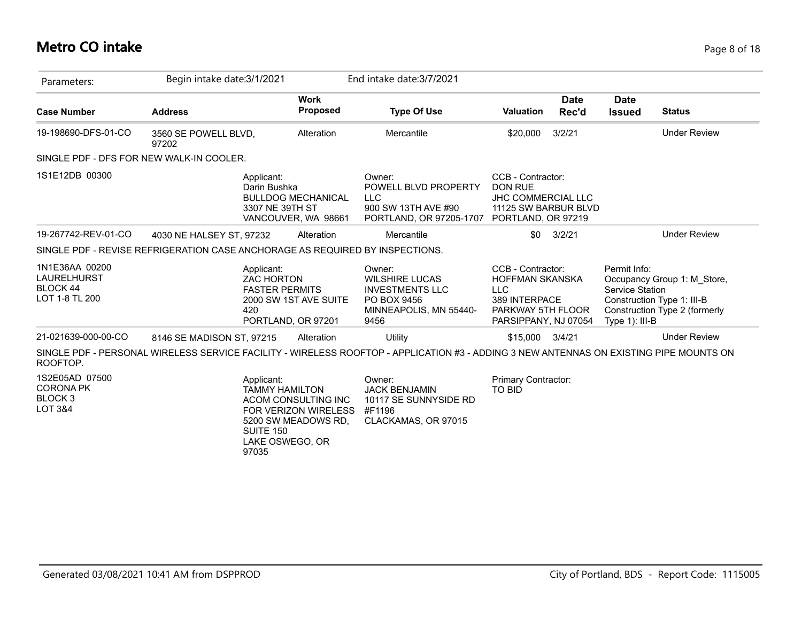## **Metro CO intake** Page 8 of 18

| Parameters:                                                                  | Begin intake date: 3/1/2021   |                                                                              |                                                                    | End intake date: 3/7/2021                                                                                                              |                                                                                                                         |                      |                                                             |                                                                                            |
|------------------------------------------------------------------------------|-------------------------------|------------------------------------------------------------------------------|--------------------------------------------------------------------|----------------------------------------------------------------------------------------------------------------------------------------|-------------------------------------------------------------------------------------------------------------------------|----------------------|-------------------------------------------------------------|--------------------------------------------------------------------------------------------|
| <b>Case Number</b>                                                           | <b>Address</b>                |                                                                              | <b>Work</b><br><b>Proposed</b>                                     | <b>Type Of Use</b>                                                                                                                     | <b>Valuation</b>                                                                                                        | <b>Date</b><br>Rec'd | <b>Date</b><br><b>Issued</b>                                | <b>Status</b>                                                                              |
| 19-198690-DFS-01-CO                                                          | 3560 SE POWELL BLVD,<br>97202 |                                                                              | Alteration                                                         | Mercantile                                                                                                                             | \$20,000                                                                                                                | 3/2/21               |                                                             | <b>Under Review</b>                                                                        |
| SINGLE PDF - DFS FOR NEW WALK-IN COOLER.                                     |                               |                                                                              |                                                                    |                                                                                                                                        |                                                                                                                         |                      |                                                             |                                                                                            |
| 1S1E12DB 00300                                                               |                               | Applicant:<br>Darin Bushka<br>3307 NE 39TH ST                                | <b>BULLDOG MECHANICAL</b><br>VANCOUVER, WA 98661                   | Owner:<br>POWELL BLVD PROPERTY<br><b>LLC</b><br>900 SW 13TH AVE #90<br>PORTLAND, OR 97205-1707                                         | CCB - Contractor:<br><b>DON RUE</b><br><b>JHC COMMERCIAL LLC</b><br>11125 SW BARBUR BLVD<br>PORTLAND, OR 97219          |                      |                                                             |                                                                                            |
| 19-267742-REV-01-CO                                                          | 4030 NE HALSEY ST, 97232      |                                                                              | Alteration                                                         | Mercantile                                                                                                                             | \$0                                                                                                                     | 3/2/21               |                                                             | <b>Under Review</b>                                                                        |
| SINGLE PDF - REVISE REFRIGERATION CASE ANCHORAGE AS REQUIRED BY INSPECTIONS. |                               |                                                                              |                                                                    |                                                                                                                                        |                                                                                                                         |                      |                                                             |                                                                                            |
| 1N1E36AA 00200<br>LAURELHURST<br>BLOCK 44<br>LOT 1-8 TL 200                  |                               | Applicant:<br><b>ZAC HORTON</b><br><b>FASTER PERMITS</b><br>420              | 2000 SW 1ST AVE SUITE<br>PORTLAND, OR 97201                        | Owner:<br><b>WILSHIRE LUCAS</b><br><b>INVESTMENTS LLC</b><br>PO BOX 9456<br>MINNEAPOLIS, MN 55440-<br>9456                             | CCB - Contractor:<br><b>HOFFMAN SKANSKA</b><br><b>LLC</b><br>389 INTERPACE<br>PARKWAY 5TH FLOOR<br>PARSIPPANY, NJ 07054 |                      | Permit Info:<br><b>Service Station</b><br>Type $1$ ): III-B | Occupancy Group 1: M Store,<br>Construction Type 1: III-B<br>Construction Type 2 (formerly |
| 21-021639-000-00-CO                                                          | 8146 SE MADISON ST, 97215     |                                                                              | Alteration                                                         | <b>Utility</b>                                                                                                                         | \$15,000                                                                                                                | 3/4/21               |                                                             | <b>Under Review</b>                                                                        |
| ROOFTOP.                                                                     |                               |                                                                              |                                                                    | SINGLE PDF - PERSONAL WIRELESS SERVICE FACILITY - WIRELESS ROOFTOP - APPLICATION #3 - ADDING 3 NEW ANTENNAS ON EXISTING PIPE MOUNTS ON |                                                                                                                         |                      |                                                             |                                                                                            |
| 1S2E05AD 07500<br><b>CORONA PK</b><br><b>BLOCK3</b><br><b>LOT 3&amp;4</b>    |                               | Applicant:<br><b>TAMMY HAMILTON</b><br>SUITE 150<br>LAKE OSWEGO, OR<br>97035 | ACOM CONSULTING INC<br>FOR VERIZON WIRELESS<br>5200 SW MEADOWS RD, | Owner:<br><b>JACK BENJAMIN</b><br>10117 SE SUNNYSIDE RD<br>#F1196<br>CLACKAMAS, OR 97015                                               | Primary Contractor:<br><b>TO BID</b>                                                                                    |                      |                                                             |                                                                                            |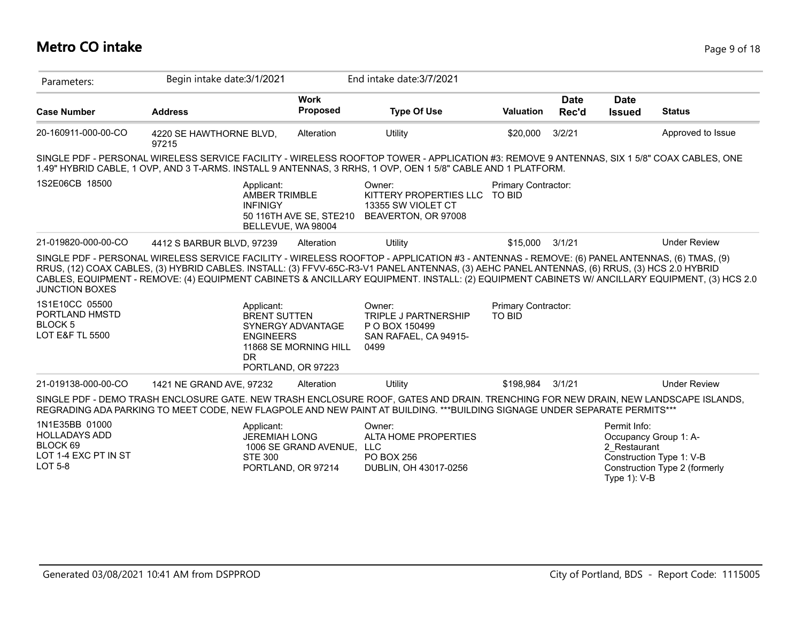# **Metro CO intake** Page 9 of 18

| Parameters:                                                                                               | Begin intake date: 3/1/2021                                                                                                                                                                                                                                                                                                                            |                                                 | End intake date: 3/7/2021                                                                |                                             |                      |                                                 |                                                                                    |
|-----------------------------------------------------------------------------------------------------------|--------------------------------------------------------------------------------------------------------------------------------------------------------------------------------------------------------------------------------------------------------------------------------------------------------------------------------------------------------|-------------------------------------------------|------------------------------------------------------------------------------------------|---------------------------------------------|----------------------|-------------------------------------------------|------------------------------------------------------------------------------------|
| <b>Case Number</b>                                                                                        | <b>Address</b>                                                                                                                                                                                                                                                                                                                                         | <b>Work</b><br>Proposed                         | <b>Type Of Use</b>                                                                       | <b>Valuation</b>                            | <b>Date</b><br>Rec'd | <b>Date</b><br><b>Issued</b>                    | <b>Status</b>                                                                      |
| 20-160911-000-00-CO                                                                                       | 4220 SE HAWTHORNE BLVD,<br>97215                                                                                                                                                                                                                                                                                                                       | Alteration                                      | Utility                                                                                  | \$20,000                                    | 3/2/21               |                                                 | Approved to Issue                                                                  |
|                                                                                                           | SINGLE PDF - PERSONAL WIRELESS SERVICE FACILITY - WIRELESS ROOFTOP TOWER - APPLICATION #3: REMOVE 9 ANTENNAS, SIX 1 5/8" COAX CABLES, ONE<br>1.49" HYBRID CABLE, 1 OVP, AND 3 T-ARMS. INSTALL 9 ANTENNAS, 3 RRHS, 1 OVP, OEN 1 5/8" CABLE AND 1 PLATFORM.                                                                                              |                                                 |                                                                                          |                                             |                      |                                                 |                                                                                    |
| 1S2E06CB 18500                                                                                            | Applicant:<br><b>AMBER TRIMBLE</b><br><b>INFINIGY</b>                                                                                                                                                                                                                                                                                                  | 50 116TH AVE SE, STE210<br>BELLEVUE, WA 98004   | Owner:<br>KITTERY PROPERTIES LLC TO BID<br>13355 SW VIOLET CT<br>BEAVERTON, OR 97008     | <b>Primary Contractor:</b>                  |                      |                                                 |                                                                                    |
| 21-019820-000-00-CO                                                                                       | 4412 S BARBUR BLVD, 97239                                                                                                                                                                                                                                                                                                                              | Alteration                                      | Utility                                                                                  | \$15,000                                    | 3/1/21               |                                                 | <b>Under Review</b>                                                                |
| <b>JUNCTION BOXES</b><br>1S1E10CC 05500<br>PORTLAND HMSTD<br><b>BLOCK 5</b><br><b>LOT E&amp;F TL 5500</b> | RRUS, (12) COAX CABLES, (3) HYBRID CABLES. INSTALL: (3) FFVV-65C-R3-V1 PANEL ANTENNAS, (3) AEHC PANEL ANTENNAS, (6) RRUS, (3) HCS 2.0 HYBRID<br>CABLES, EQUIPMENT - REMOVE: (4) EQUIPMENT CABINETS & ANCILLARY EQUIPMENT. INSTALL: (2) EQUIPMENT CABINETS W/ ANCILLARY EQUIPMENT, (3) HCS 2.0<br>Applicant:<br><b>BRENT SUTTEN</b><br><b>ENGINEERS</b> | SYNERGY ADVANTAGE<br>11868 SE MORNING HILL      | Owner:<br><b>TRIPLE J PARTNERSHIP</b><br>P O BOX 150499<br>SAN RAFAEL, CA 94915-<br>0499 | <b>Primary Contractor:</b><br><b>TO BID</b> |                      |                                                 |                                                                                    |
|                                                                                                           | <b>DR</b>                                                                                                                                                                                                                                                                                                                                              | PORTLAND, OR 97223                              |                                                                                          |                                             |                      |                                                 |                                                                                    |
| 21-019138-000-00-CO                                                                                       | 1421 NE GRAND AVE, 97232                                                                                                                                                                                                                                                                                                                               | Alteration                                      | Utility                                                                                  | \$198.984                                   | 3/1/21               |                                                 | <b>Under Review</b>                                                                |
|                                                                                                           | SINGLE PDF - DEMO TRASH ENCLOSURE GATE. NEW TRASH ENCLOSURE ROOF, GATES AND DRAIN. TRENCHING FOR NEW DRAIN, NEW LANDSCAPE ISLANDS,<br>REGRADING ADA PARKING TO MEET CODE, NEW FLAGPOLE AND NEW PAINT AT BUILDING. ***BUILDING SIGNAGE UNDER SEPARATE PERMITS***                                                                                        |                                                 |                                                                                          |                                             |                      |                                                 |                                                                                    |
| 1N1E35BB 01000<br><b>HOLLADAYS ADD</b><br>BLOCK 69<br>LOT 1-4 EXC PT IN ST<br><b>LOT 5-8</b>              | Applicant:<br><b>JEREMIAH LONG</b><br><b>STE 300</b>                                                                                                                                                                                                                                                                                                   | 1006 SE GRAND AVENUE, LLC<br>PORTLAND, OR 97214 | Owner:<br>ALTA HOME PROPERTIES<br>PO BOX 256<br>DUBLIN, OH 43017-0256                    |                                             |                      | Permit Info:<br>2 Restaurant<br>Type $1$ ): V-B | Occupancy Group 1: A-<br>Construction Type 1: V-B<br>Construction Type 2 (formerly |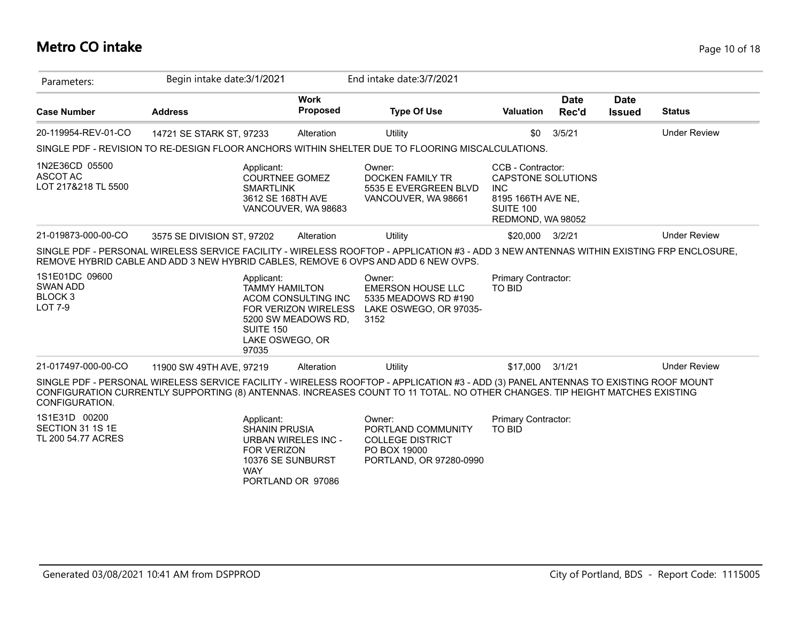### **Metro CO intake** Page 10 of 18

| Parameters:                                                               | Begin intake date: 3/1/2021                                                                                                                                                                                                                                        |                                                                                                                       | End intake date: 3/7/2021                                                                          |                                                                                                                      |                      |                              |                     |
|---------------------------------------------------------------------------|--------------------------------------------------------------------------------------------------------------------------------------------------------------------------------------------------------------------------------------------------------------------|-----------------------------------------------------------------------------------------------------------------------|----------------------------------------------------------------------------------------------------|----------------------------------------------------------------------------------------------------------------------|----------------------|------------------------------|---------------------|
| <b>Case Number</b>                                                        | <b>Address</b>                                                                                                                                                                                                                                                     | <b>Work</b><br><b>Proposed</b>                                                                                        | <b>Type Of Use</b>                                                                                 | <b>Valuation</b>                                                                                                     | <b>Date</b><br>Rec'd | <b>Date</b><br><b>Issued</b> | <b>Status</b>       |
| 20-119954-REV-01-CO                                                       | 14721 SE STARK ST, 97233                                                                                                                                                                                                                                           | Alteration                                                                                                            | Utility                                                                                            | \$0                                                                                                                  | 3/5/21               |                              | <b>Under Review</b> |
|                                                                           | SINGLE PDF - REVISION TO RE-DESIGN FLOOR ANCHORS WITHIN SHELTER DUE TO FLOORING MISCALCULATIONS.                                                                                                                                                                   |                                                                                                                       |                                                                                                    |                                                                                                                      |                      |                              |                     |
| 1N2E36CD 05500<br>ASCOT AC<br>LOT 217&218 TL 5500                         | Applicant:<br><b>SMARTLINK</b>                                                                                                                                                                                                                                     | <b>COURTNEE GOMEZ</b><br>3612 SE 168TH AVE<br>VANCOUVER, WA 98683                                                     | Owner:<br><b>DOCKEN FAMILY TR</b><br>5535 E EVERGREEN BLVD<br>VANCOUVER, WA 98661                  | CCB - Contractor:<br><b>CAPSTONE SOLUTIONS</b><br><b>INC</b><br>8195 166TH AVE NE,<br>SUITE 100<br>REDMOND, WA 98052 |                      |                              |                     |
| 21-019873-000-00-CO                                                       | 3575 SE DIVISION ST, 97202                                                                                                                                                                                                                                         | Alteration                                                                                                            | Utility                                                                                            | \$20,000                                                                                                             | 3/2/21               |                              | <b>Under Review</b> |
| 1S1E01DC 09600<br><b>SWAN ADD</b><br>BLOCK <sub>3</sub><br><b>LOT 7-9</b> | REMOVE HYBRID CABLE AND ADD 3 NEW HYBRID CABLES, REMOVE 6 OVPS AND ADD 6 NEW OVPS.<br>Applicant:<br><b>SUITE 150</b><br>97035                                                                                                                                      | <b>TAMMY HAMILTON</b><br>ACOM CONSULTING INC<br><b>FOR VERIZON WIRELESS</b><br>5200 SW MEADOWS RD,<br>LAKE OSWEGO, OR | Owner:<br><b>EMERSON HOUSE LLC</b><br>5335 MEADOWS RD #190<br>LAKE OSWEGO, OR 97035-<br>3152       | Primary Contractor:<br><b>TO BID</b>                                                                                 |                      |                              |                     |
| 21-017497-000-00-CO                                                       | 11900 SW 49TH AVE, 97219                                                                                                                                                                                                                                           | Alteration                                                                                                            | Utility                                                                                            | \$17,000                                                                                                             | 3/1/21               |                              | <b>Under Review</b> |
| CONFIGURATION.                                                            | SINGLE PDF - PERSONAL WIRELESS SERVICE FACILITY - WIRELESS ROOFTOP - APPLICATION #3 - ADD (3) PANEL ANTENNAS TO EXISTING ROOF MOUNT<br>CONFIGURATION CURRENTLY SUPPORTING (8) ANTENNAS. INCREASES COUNT TO 11 TOTAL. NO OTHER CHANGES. TIP HEIGHT MATCHES EXISTING |                                                                                                                       |                                                                                                    |                                                                                                                      |                      |                              |                     |
| 1S1E31D 00200<br>SECTION 31 1S 1E<br>TL 200 54.77 ACRES                   | Applicant:<br><b>SHANIN PRUSIA</b><br><b>FOR VERIZON</b><br><b>WAY</b>                                                                                                                                                                                             | <b>URBAN WIRELES INC -</b><br>10376 SE SUNBURST<br>PORTLAND OR 97086                                                  | Owner:<br>PORTLAND COMMUNITY<br><b>COLLEGE DISTRICT</b><br>PO BOX 19000<br>PORTLAND, OR 97280-0990 | Primary Contractor:<br><b>TO BID</b>                                                                                 |                      |                              |                     |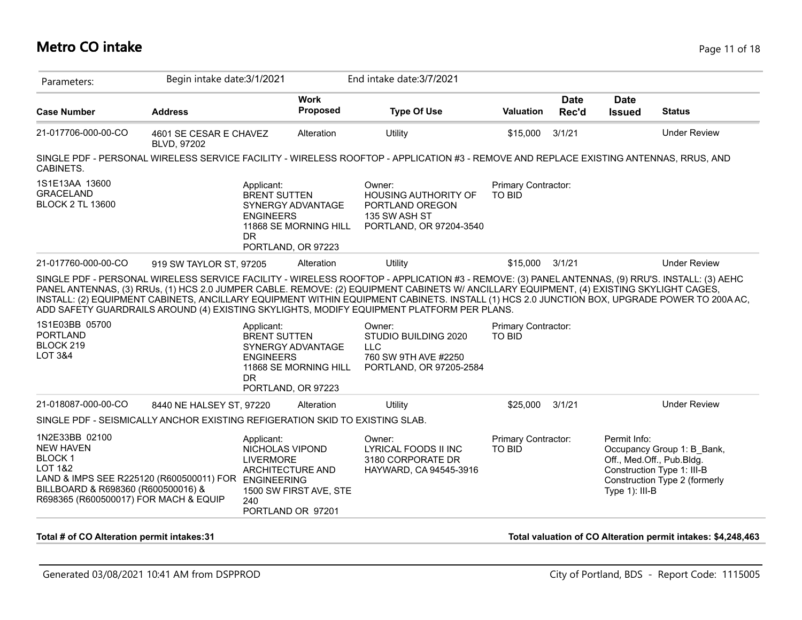### **Metro CO intake** Page 11 of 18

|                                                                              |                                       | Begin intake date: 3/1/2021                                                              |                                            | End intake date: 3/7/2021                                                                                                                                                                                                                                                                 |                                      |                      |                              |                     |
|------------------------------------------------------------------------------|---------------------------------------|------------------------------------------------------------------------------------------|--------------------------------------------|-------------------------------------------------------------------------------------------------------------------------------------------------------------------------------------------------------------------------------------------------------------------------------------------|--------------------------------------|----------------------|------------------------------|---------------------|
| <b>Case Number</b>                                                           | <b>Address</b>                        |                                                                                          | <b>Work</b><br>Proposed                    | <b>Type Of Use</b>                                                                                                                                                                                                                                                                        | <b>Valuation</b>                     | <b>Date</b><br>Rec'd | <b>Date</b><br><b>Issued</b> | <b>Status</b>       |
| 21-017706-000-00-CO                                                          | 4601 SE CESAR E CHAVEZ<br>BLVD, 97202 |                                                                                          | Alteration                                 | <b>Utility</b>                                                                                                                                                                                                                                                                            | \$15,000                             | 3/1/21               |                              | <b>Under Review</b> |
| CABINETS.                                                                    |                                       |                                                                                          |                                            | SINGLE PDF - PERSONAL WIRELESS SERVICE FACILITY - WIRELESS ROOFTOP - APPLICATION #3 - REMOVE AND REPLACE EXISTING ANTENNAS, RRUS, AND                                                                                                                                                     |                                      |                      |                              |                     |
| 1S1E13AA 13600<br><b>GRACELAND</b><br><b>BLOCK 2 TL 13600</b>                |                                       | Applicant:<br><b>BRENT SUTTEN</b><br><b>ENGINEERS</b><br><b>DR</b><br>PORTLAND, OR 97223 | SYNERGY ADVANTAGE<br>11868 SE MORNING HILL | Owner:<br><b>HOUSING AUTHORITY OF</b><br>PORTLAND OREGON<br>135 SW ASH ST<br>PORTLAND, OR 97204-3540                                                                                                                                                                                      | Primary Contractor:<br><b>TO BID</b> |                      |                              |                     |
| 21-017760-000-00-CO                                                          | 919 SW TAYLOR ST, 97205               |                                                                                          | Alteration                                 | Utility                                                                                                                                                                                                                                                                                   | \$15,000                             | 3/1/21               |                              | <b>Under Review</b> |
|                                                                              |                                       |                                                                                          |                                            | SINGLE PDF - PERSONAL WIRELESS SERVICE FACILITY - WIRELESS ROOFTOP - APPLICATION #3 - REMOVE: (3) PANEL ANTENNAS, (9) RRU'S. INSTALL: (3) AEHC<br>PANEL ANTENNAS, (3) RRUs, (1) HCS 2.0 JUMPER CABLE. REMOVE: (2) EQUIPMENT CABINETS W/ ANCILLARY EQUIPMENT, (4) EXISTING SKYLIGHT CAGES, |                                      |                      |                              |                     |
|                                                                              |                                       |                                                                                          |                                            | INSTALL: (2) EQUIPMENT CABINETS, ANCILLARY EQUIPMENT WITHIN EQUIPMENT CABINETS. INSTALL (1) HCS 2.0 JUNCTION BOX, UPGRADE POWER TO 200A AC,<br>ADD SAFETY GUARDRAILS AROUND (4) EXISTING SKYLIGHTS, MODIFY EQUIPMENT PLATFORM PER PLANS.                                                  |                                      |                      |                              |                     |
| 1S1E03BB 05700<br><b>PORTLAND</b><br>BLOCK 219<br><b>LOT 3&amp;4</b>         |                                       | Applicant:<br><b>BRENT SUTTEN</b><br><b>ENGINEERS</b><br><b>DR</b><br>PORTLAND, OR 97223 | SYNERGY ADVANTAGE<br>11868 SE MORNING HILL | Owner:<br>STUDIO BUILDING 2020<br><b>LLC</b><br>760 SW 9TH AVE #2250<br>PORTLAND, OR 97205-2584                                                                                                                                                                                           | Primary Contractor:<br><b>TO BID</b> |                      |                              |                     |
| 21-018087-000-00-CO                                                          | 8440 NE HALSEY ST, 97220              |                                                                                          | Alteration                                 | Utility                                                                                                                                                                                                                                                                                   | \$25,000                             | 3/1/21               |                              | <b>Under Review</b> |
| SINGLE PDF - SEISMICALLY ANCHOR EXISTING REFIGERATION SKID TO EXISTING SLAB. |                                       |                                                                                          |                                            |                                                                                                                                                                                                                                                                                           |                                      |                      |                              |                     |

**Total # of CO Alteration permit intakes:31 Total valuation of CO Alteration permit intakes: \$4,248,463**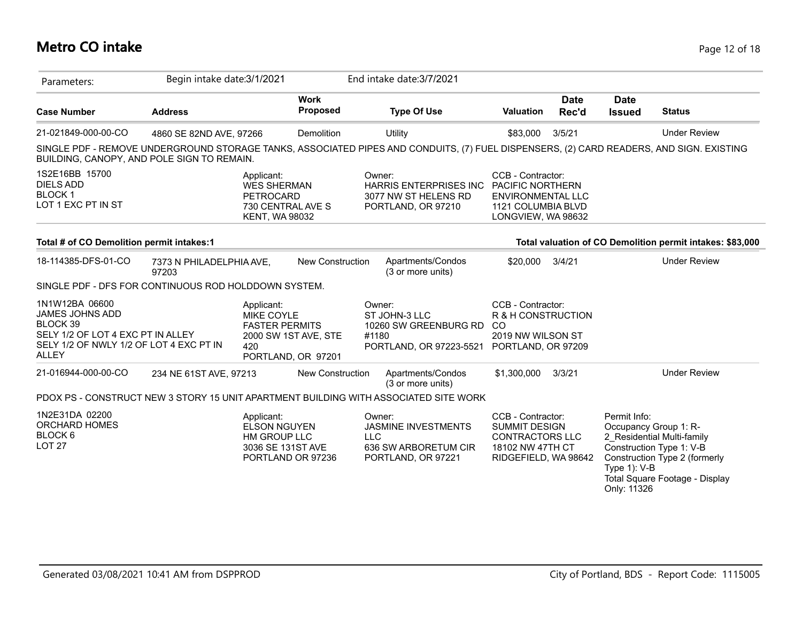# **Metro CO intake** Page 12 of 18

| Parameters:                                                                                                                                          | Begin intake date: 3/1/2021       |                                                                                                               |                                |            | End intake date: 3/7/2021                                                                                                               |                                                                                                                      |                      |                                                |                                                                                                                                                    |
|------------------------------------------------------------------------------------------------------------------------------------------------------|-----------------------------------|---------------------------------------------------------------------------------------------------------------|--------------------------------|------------|-----------------------------------------------------------------------------------------------------------------------------------------|----------------------------------------------------------------------------------------------------------------------|----------------------|------------------------------------------------|----------------------------------------------------------------------------------------------------------------------------------------------------|
| <b>Case Number</b>                                                                                                                                   | <b>Address</b>                    |                                                                                                               | <b>Work</b><br><b>Proposed</b> |            | <b>Type Of Use</b>                                                                                                                      | <b>Valuation</b>                                                                                                     | <b>Date</b><br>Rec'd | <b>Date</b><br><b>Issued</b>                   | <b>Status</b>                                                                                                                                      |
| 21-021849-000-00-CO                                                                                                                                  | 4860 SE 82ND AVE, 97266           |                                                                                                               | Demolition                     |            | Utility                                                                                                                                 | \$83,000                                                                                                             | 3/5/21               |                                                | <b>Under Review</b>                                                                                                                                |
| BUILDING, CANOPY, AND POLE SIGN TO REMAIN.                                                                                                           |                                   |                                                                                                               |                                |            | SINGLE PDF - REMOVE UNDERGROUND STORAGE TANKS, ASSOCIATED PIPES AND CONDUITS, (7) FUEL DISPENSERS, (2) CARD READERS, AND SIGN. EXISTING |                                                                                                                      |                      |                                                |                                                                                                                                                    |
| 1S2E16BB 15700<br><b>DIELS ADD</b><br><b>BLOCK1</b><br>LOT 1 EXC PT IN ST                                                                            |                                   | Applicant:<br><b>WES SHERMAN</b><br><b>PETROCARD</b><br>730 CENTRAL AVE S<br><b>KENT, WA 98032</b>            |                                |            | Owner:<br><b>HARRIS ENTERPRISES INC.</b><br>3077 NW ST HELENS RD<br>PORTLAND, OR 97210                                                  | CCB - Contractor:<br><b>PACIFIC NORTHERN</b><br><b>ENVIRONMENTAL LLC</b><br>1121 COLUMBIA BLVD<br>LONGVIEW, WA 98632 |                      |                                                |                                                                                                                                                    |
| Total # of CO Demolition permit intakes:1                                                                                                            |                                   |                                                                                                               |                                |            |                                                                                                                                         |                                                                                                                      |                      |                                                | Total valuation of CO Demolition permit intakes: \$83,000                                                                                          |
| 18-114385-DFS-01-CO                                                                                                                                  | 7373 N PHILADELPHIA AVE,<br>97203 |                                                                                                               | <b>New Construction</b>        |            | Apartments/Condos<br>(3 or more units)                                                                                                  | \$20,000                                                                                                             | 3/4/21               |                                                | <b>Under Review</b>                                                                                                                                |
| SINGLE PDF - DFS FOR CONTINUOUS ROD HOLDDOWN SYSTEM.                                                                                                 |                                   |                                                                                                               |                                |            |                                                                                                                                         |                                                                                                                      |                      |                                                |                                                                                                                                                    |
| 1N1W12BA 06600<br><b>JAMES JOHNS ADD</b><br>BLOCK 39<br>SELY 1/2 OF LOT 4 EXC PT IN ALLEY<br>SELY 1/2 OF NWLY 1/2 OF LOT 4 EXC PT IN<br><b>ALLEY</b> |                                   | Applicant:<br><b>MIKE COYLE</b><br><b>FASTER PERMITS</b><br>2000 SW 1ST AVE, STE<br>420<br>PORTLAND, OR 97201 |                                |            | Owner:<br>ST JOHN-3 LLC<br>10260 SW GREENBURG RD<br>#1180<br>PORTLAND, OR 97223-5521                                                    | CCB - Contractor:<br>R & H CONSTRUCTION<br><sub>CO</sub><br>2019 NW WILSON ST<br>PORTLAND, OR 97209                  |                      |                                                |                                                                                                                                                    |
| 21-016944-000-00-CO                                                                                                                                  | 234 NE 61ST AVE, 97213            |                                                                                                               | <b>New Construction</b>        |            | Apartments/Condos<br>(3 or more units)                                                                                                  | \$1,300,000                                                                                                          | 3/3/21               |                                                | <b>Under Review</b>                                                                                                                                |
|                                                                                                                                                      |                                   |                                                                                                               |                                |            | PDOX PS - CONSTRUCT NEW 3 STORY 15 UNIT APARTMENT BUILDING WITH ASSOCIATED SITE WORK                                                    |                                                                                                                      |                      |                                                |                                                                                                                                                    |
| 1N2E31DA 02200<br>ORCHARD HOMES<br>BLOCK 6<br><b>LOT 27</b>                                                                                          |                                   | Applicant:<br><b>ELSON NGUYEN</b><br>HM GROUP LLC<br>3036 SE 131ST AVE<br>PORTLAND OR 97236                   |                                | <b>LLC</b> | Owner:<br><b>JASMINE INVESTMENTS</b><br>636 SW ARBORETUM CIR<br>PORTLAND, OR 97221                                                      | CCB - Contractor:<br><b>SUMMIT DESIGN</b><br><b>CONTRACTORS LLC</b><br>18102 NW 47TH CT<br>RIDGEFIELD, WA 98642      |                      | Permit Info:<br>Type $1$ ): V-B<br>Only: 11326 | Occupancy Group 1: R-<br>2 Residential Multi-family<br>Construction Type 1: V-B<br>Construction Type 2 (formerly<br>Total Square Footage - Display |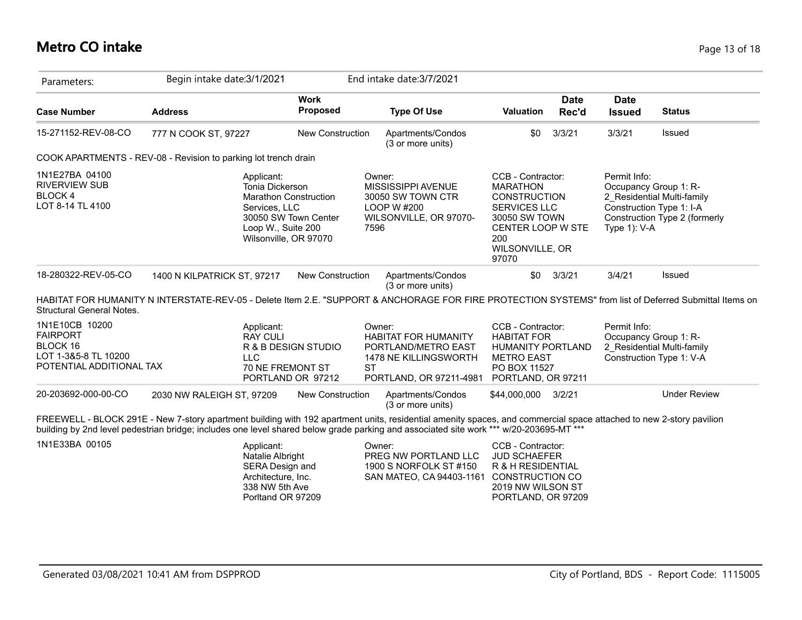# **Metro CO intake** Page 13 of 18

| Parameters:                                                                                       | Begin intake date: 3/1/2021                                                                                                                                                                                                                                                                                  |                                                       | End intake date: 3/7/2021                                                                                               |                                                                                                                                                             |                      |                                                                                   |                                                             |
|---------------------------------------------------------------------------------------------------|--------------------------------------------------------------------------------------------------------------------------------------------------------------------------------------------------------------------------------------------------------------------------------------------------------------|-------------------------------------------------------|-------------------------------------------------------------------------------------------------------------------------|-------------------------------------------------------------------------------------------------------------------------------------------------------------|----------------------|-----------------------------------------------------------------------------------|-------------------------------------------------------------|
| <b>Case Number</b>                                                                                | <b>Address</b>                                                                                                                                                                                                                                                                                               | <b>Work</b><br><b>Proposed</b>                        | <b>Type Of Use</b>                                                                                                      | Valuation                                                                                                                                                   | <b>Date</b><br>Rec'd | <b>Date</b><br><b>Issued</b>                                                      | <b>Status</b>                                               |
| 15-271152-REV-08-CO                                                                               | 777 N COOK ST, 97227                                                                                                                                                                                                                                                                                         | <b>New Construction</b>                               | Apartments/Condos<br>(3 or more units)                                                                                  | \$0                                                                                                                                                         | 3/3/21               | 3/3/21                                                                            | Issued                                                      |
|                                                                                                   | COOK APARTMENTS - REV-08 - Revision to parking lot trench drain                                                                                                                                                                                                                                              |                                                       |                                                                                                                         |                                                                                                                                                             |                      |                                                                                   |                                                             |
| 1N1E27BA 04100<br><b>RIVERVIEW SUB</b><br>BLOCK 4<br>LOT 8-14 TL 4100                             | Applicant:<br>Tonia Dickerson<br><b>Marathon Construction</b><br>Services, LLC<br>Loop W., Suite 200<br>Wilsonville, OR 97070                                                                                                                                                                                | 30050 SW Town Center<br>7596                          | Owner:<br>MISSISSIPPI AVENUE<br>30050 SW TOWN CTR<br>LOOP W #200<br>WILSONVILLE, OR 97070-                              | CCB - Contractor:<br><b>MARATHON</b><br><b>CONSTRUCTION</b><br><b>SERVICES LLC</b><br>30050 SW TOWN<br>CENTER LOOP W STE<br>200<br>WILSONVILLE, OR<br>97070 |                      | Permit Info:<br>Occupancy Group 1: R-<br>Construction Type 1: I-A<br>Type 1): V-A | 2 Residential Multi-family<br>Construction Type 2 (formerly |
| 18-280322-REV-05-CO                                                                               | 1400 N KILPATRICK ST, 97217                                                                                                                                                                                                                                                                                  | New Construction                                      | Apartments/Condos<br>(3 or more units)                                                                                  | \$0                                                                                                                                                         | 3/3/21               | 3/4/21                                                                            | Issued                                                      |
| <b>Structural General Notes.</b>                                                                  | HABITAT FOR HUMANITY N INTERSTATE-REV-05 - Delete Item 2.E. "SUPPORT & ANCHORAGE FOR FIRE PROTECTION SYSTEMS" from list of Deferred Submittal Items on                                                                                                                                                       |                                                       |                                                                                                                         |                                                                                                                                                             |                      |                                                                                   |                                                             |
| 1N1E10CB 10200<br><b>FAIRPORT</b><br>BLOCK 16<br>LOT 1-3&5-8 TL 10200<br>POTENTIAL ADDITIONAL TAX | Applicant:<br><b>RAY CULI</b><br><b>LLC</b><br>70 NE FREMONT ST                                                                                                                                                                                                                                              | R & B DESIGN STUDIO<br><b>ST</b><br>PORTLAND OR 97212 | Owner:<br><b>HABITAT FOR HUMANITY</b><br>PORTLAND/METRO EAST<br><b>1478 NE KILLINGSWORTH</b><br>PORTLAND, OR 97211-4981 | CCB - Contractor:<br><b>HABITAT FOR</b><br><b>HUMANITY PORTLAND</b><br><b>METRO EAST</b><br>PO BOX 11527<br>PORTLAND, OR 97211                              |                      | Permit Info:<br>Occupancy Group 1: R-                                             | 2 Residential Multi-family<br>Construction Type 1: V-A      |
| 20-203692-000-00-CO                                                                               | 2030 NW RALEIGH ST, 97209                                                                                                                                                                                                                                                                                    | New Construction                                      | Apartments/Condos<br>(3 or more units)                                                                                  | \$44,000,000                                                                                                                                                | 3/2/21               |                                                                                   | <b>Under Review</b>                                         |
|                                                                                                   | FREEWELL - BLOCK 291E - New 7-story apartment building with 192 apartment units, residential amenity spaces, and commercial space attached to new 2-story pavilion<br>building by 2nd level pedestrian bridge; includes one level shared below grade parking and associated site work *** w/20-203695-MT *** |                                                       |                                                                                                                         |                                                                                                                                                             |                      |                                                                                   |                                                             |
| 1N1E33BA 00105                                                                                    | Applicant:<br>Natalie Albright<br>SERA Design and<br>Architecture, Inc.<br>338 NW 5th Ave<br>Porltand OR 97209                                                                                                                                                                                               |                                                       | Owner:<br>PREG NW PORTLAND LLC<br>1900 S NORFOLK ST #150<br>SAN MATEO, CA 94403-1161                                    | CCB - Contractor:<br><b>JUD SCHAEFER</b><br>R & H RESIDENTIAL<br><b>CONSTRUCTION CO</b><br>2019 NW WILSON ST<br>PORTLAND, OR 97209                          |                      |                                                                                   |                                                             |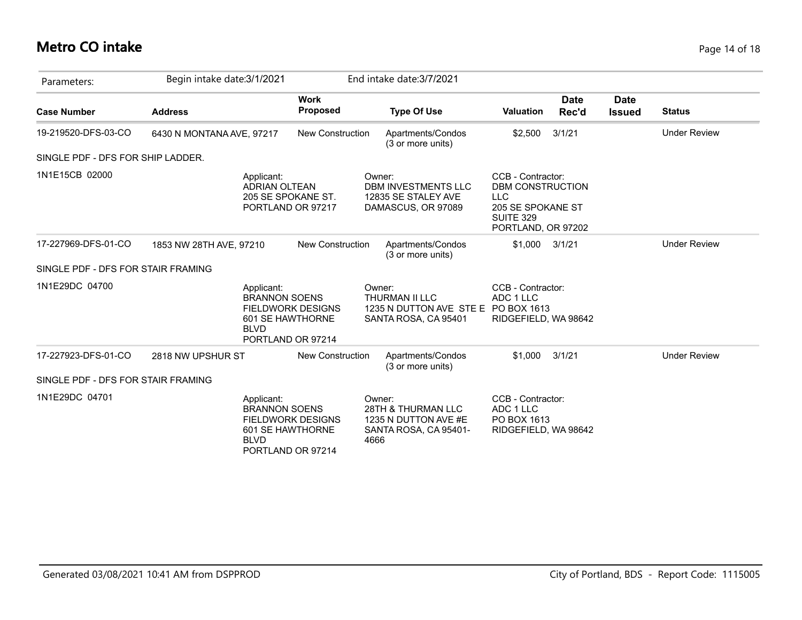## **Metro CO intake** Page 14 of 18

| Parameters:                        | Begin intake date: 3/1/2021 |                                                                                                                        |                                |                | End intake date: 3/7/2021                                                            |                                                                                                                    |                      |                              |                     |
|------------------------------------|-----------------------------|------------------------------------------------------------------------------------------------------------------------|--------------------------------|----------------|--------------------------------------------------------------------------------------|--------------------------------------------------------------------------------------------------------------------|----------------------|------------------------------|---------------------|
| <b>Case Number</b>                 | <b>Address</b>              |                                                                                                                        | <b>Work</b><br><b>Proposed</b> |                | <b>Type Of Use</b>                                                                   | <b>Valuation</b>                                                                                                   | <b>Date</b><br>Rec'd | <b>Date</b><br><b>Issued</b> | <b>Status</b>       |
| 19-219520-DFS-03-CO                | 6430 N MONTANA AVE, 97217   |                                                                                                                        | <b>New Construction</b>        |                | Apartments/Condos<br>(3 or more units)                                               | \$2,500                                                                                                            | 3/1/21               |                              | <b>Under Review</b> |
| SINGLE PDF - DFS FOR SHIP LADDER.  |                             |                                                                                                                        |                                |                |                                                                                      |                                                                                                                    |                      |                              |                     |
| 1N1E15CB 02000                     |                             | Applicant:<br><b>ADRIAN OLTEAN</b><br>205 SE SPOKANE ST.<br>PORTLAND OR 97217                                          |                                | Owner:         | DBM INVESTMENTS LLC<br>12835 SE STALEY AVE<br>DAMASCUS, OR 97089                     | CCB - Contractor:<br><b>DBM CONSTRUCTION</b><br><b>LLC</b><br>205 SE SPOKANE ST<br>SUITE 329<br>PORTLAND, OR 97202 |                      |                              |                     |
| 17-227969-DFS-01-CO                | 1853 NW 28TH AVE, 97210     |                                                                                                                        | <b>New Construction</b>        |                | Apartments/Condos<br>(3 or more units)                                               | \$1,000                                                                                                            | 3/1/21               |                              | <b>Under Review</b> |
| SINGLE PDF - DFS FOR STAIR FRAMING |                             |                                                                                                                        |                                |                |                                                                                      |                                                                                                                    |                      |                              |                     |
| 1N1E29DC 04700                     |                             | Applicant:<br><b>BRANNON SOENS</b><br><b>FIELDWORK DESIGNS</b><br>601 SE HAWTHORNE<br><b>BLVD</b><br>PORTLAND OR 97214 |                                | Owner:         | <b>THURMAN II LLC</b><br>1235 N DUTTON AVE STE E PO BOX 1613<br>SANTA ROSA, CA 95401 | CCB - Contractor:<br>ADC 1 LLC<br>RIDGEFIELD, WA 98642                                                             |                      |                              |                     |
| 17-227923-DFS-01-CO                | 2818 NW UPSHUR ST           |                                                                                                                        | <b>New Construction</b>        |                | Apartments/Condos<br>(3 or more units)                                               | \$1,000                                                                                                            | 3/1/21               |                              | <b>Under Review</b> |
| SINGLE PDF - DFS FOR STAIR FRAMING |                             |                                                                                                                        |                                |                |                                                                                      |                                                                                                                    |                      |                              |                     |
| 1N1E29DC 04701                     |                             | Applicant:<br><b>BRANNON SOENS</b><br><b>FIELDWORK DESIGNS</b><br>601 SE HAWTHORNE<br><b>BLVD</b><br>PORTLAND OR 97214 |                                | Owner:<br>4666 | 28TH & THURMAN LLC<br>1235 N DUTTON AVE #E<br>SANTA ROSA, CA 95401-                  | CCB - Contractor:<br>ADC 1 LLC<br>PO BOX 1613<br>RIDGEFIELD, WA 98642                                              |                      |                              |                     |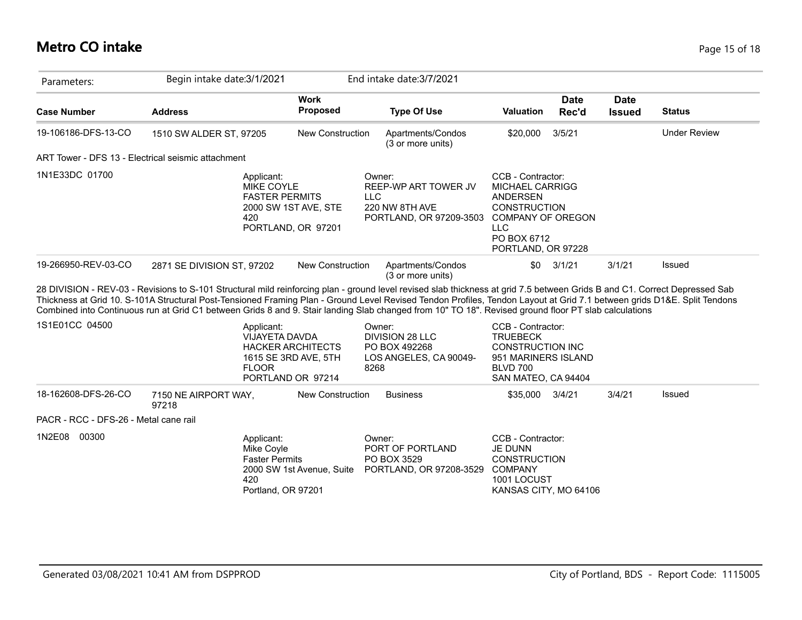## **Metro CO intake** Page 15 of 18

| Parameters:                                        | Begin intake date: 3/1/2021                                                                                                                                                                                                                                                                                                                                                                                                                                                                                   |                                                                       | End intake date: 3/7/2021                                                                 |                                                                                                                                                        |                      |                              |                     |
|----------------------------------------------------|---------------------------------------------------------------------------------------------------------------------------------------------------------------------------------------------------------------------------------------------------------------------------------------------------------------------------------------------------------------------------------------------------------------------------------------------------------------------------------------------------------------|-----------------------------------------------------------------------|-------------------------------------------------------------------------------------------|--------------------------------------------------------------------------------------------------------------------------------------------------------|----------------------|------------------------------|---------------------|
| <b>Case Number</b>                                 | <b>Address</b>                                                                                                                                                                                                                                                                                                                                                                                                                                                                                                | <b>Work</b><br>Proposed                                               | <b>Type Of Use</b>                                                                        | <b>Valuation</b>                                                                                                                                       | <b>Date</b><br>Rec'd | <b>Date</b><br><b>Issued</b> | <b>Status</b>       |
| 19-106186-DFS-13-CO                                | 1510 SW ALDER ST, 97205                                                                                                                                                                                                                                                                                                                                                                                                                                                                                       | <b>New Construction</b>                                               | Apartments/Condos<br>(3 or more units)                                                    | \$20,000                                                                                                                                               | 3/5/21               |                              | <b>Under Review</b> |
| ART Tower - DFS 13 - Electrical seismic attachment |                                                                                                                                                                                                                                                                                                                                                                                                                                                                                                               |                                                                       |                                                                                           |                                                                                                                                                        |                      |                              |                     |
| 1N1E33DC 01700                                     | Applicant:<br><b>MIKE COYLE</b><br><b>FASTER PERMITS</b><br>420                                                                                                                                                                                                                                                                                                                                                                                                                                               | 2000 SW 1ST AVE, STE<br>PORTLAND, OR 97201                            | Owner:<br>REEP-WP ART TOWER JV<br><b>LLC</b><br>220 NW 8TH AVE<br>PORTLAND, OR 97209-3503 | CCB - Contractor:<br>MICHAEL CARRIGG<br><b>ANDERSEN</b><br><b>CONSTRUCTION</b><br>COMPANY OF OREGON<br><b>LLC</b><br>PO BOX 6712<br>PORTLAND, OR 97228 |                      |                              |                     |
| 19-266950-REV-03-CO                                | 2871 SE DIVISION ST, 97202                                                                                                                                                                                                                                                                                                                                                                                                                                                                                    | New Construction                                                      | Apartments/Condos<br>(3 or more units)                                                    | \$0                                                                                                                                                    | 3/1/21               | 3/1/21                       | Issued              |
|                                                    | 28 DIVISION - REV-03 - Revisions to S-101 Structural mild reinforcing plan - ground level revised slab thickness at grid 7.5 between Grids B and C1. Correct Depressed Sab<br>Thickness at Grid 10. S-101A Structural Post-Tensioned Framing Plan - Ground Level Revised Tendon Profiles, Tendon Layout at Grid 7.1 between grids D1&E. Split Tendons<br>Combined into Continuous run at Grid C1 between Grids 8 and 9. Stair landing Slab changed from 10" TO 18". Revised ground floor PT slab calculations |                                                                       |                                                                                           |                                                                                                                                                        |                      |                              |                     |
| 1S1E01CC 04500                                     | Applicant:<br><b>VIJAYETA DAVDA</b><br><b>FLOOR</b>                                                                                                                                                                                                                                                                                                                                                                                                                                                           | <b>HACKER ARCHITECTS</b><br>1615 SE 3RD AVE, 5TH<br>PORTLAND OR 97214 | Owner:<br><b>DIVISION 28 LLC</b><br>PO BOX 492268<br>LOS ANGELES, CA 90049-<br>8268       | CCB - Contractor:<br><b>TRUEBECK</b><br><b>CONSTRUCTION INC</b><br>951 MARINERS ISLAND<br><b>BLVD 700</b><br>SAN MATEO, CA 94404                       |                      |                              |                     |
| 18-162608-DFS-26-CO                                | 7150 NE AIRPORT WAY,<br>97218                                                                                                                                                                                                                                                                                                                                                                                                                                                                                 | <b>New Construction</b>                                               | <b>Business</b>                                                                           | \$35,000                                                                                                                                               | 3/4/21               | 3/4/21                       | Issued              |
| PACR - RCC - DFS-26 - Metal cane rail              |                                                                                                                                                                                                                                                                                                                                                                                                                                                                                                               |                                                                       |                                                                                           |                                                                                                                                                        |                      |                              |                     |
| 00300<br>1N2E08                                    | Applicant:<br>Mike Coyle<br><b>Faster Permits</b><br>420<br>Portland, OR 97201                                                                                                                                                                                                                                                                                                                                                                                                                                | 2000 SW 1st Avenue, Suite                                             | Owner:<br>PORT OF PORTLAND<br>PO BOX 3529<br>PORTLAND, OR 97208-3529                      | CCB - Contractor:<br><b>JE DUNN</b><br><b>CONSTRUCTION</b><br><b>COMPANY</b><br>1001 LOCUST<br>KANSAS CITY, MO 64106                                   |                      |                              |                     |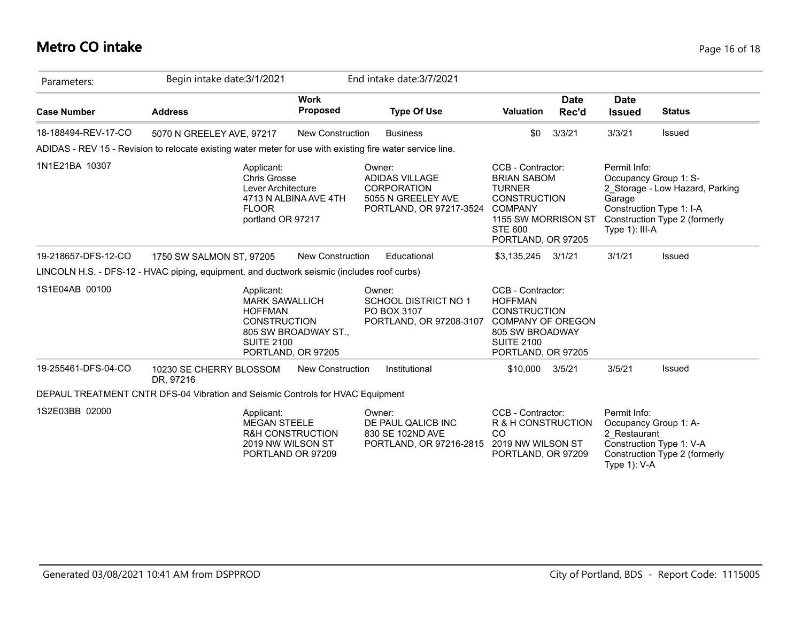## **Metro CO intake** Page 16 of 18

| Parameters:         | Begin intake date: 3/1/2021                                                                                |                                                  | End intake date: 3/7/2021                                                                              |                                                                                                                                                                  |                      |                                                                                                  |                                                                  |
|---------------------|------------------------------------------------------------------------------------------------------------|--------------------------------------------------|--------------------------------------------------------------------------------------------------------|------------------------------------------------------------------------------------------------------------------------------------------------------------------|----------------------|--------------------------------------------------------------------------------------------------|------------------------------------------------------------------|
| <b>Case Number</b>  | <b>Address</b>                                                                                             | <b>Work</b><br><b>Proposed</b>                   | <b>Type Of Use</b>                                                                                     | <b>Valuation</b>                                                                                                                                                 | <b>Date</b><br>Rec'd | <b>Date</b><br><b>Issued</b>                                                                     | <b>Status</b>                                                    |
| 18-188494-REV-17-CO | 5070 N GREELEY AVE, 97217                                                                                  | New Construction                                 | <b>Business</b>                                                                                        | \$0                                                                                                                                                              | 3/3/21               | 3/3/21                                                                                           | Issued                                                           |
|                     | ADIDAS - REV 15 - Revision to relocate existing water meter for use with existing fire water service line. |                                                  |                                                                                                        |                                                                                                                                                                  |                      |                                                                                                  |                                                                  |
| 1N1E21BA 10307      | Applicant:<br><b>Chris Grosse</b><br>Lever Architecture<br><b>FLOOR</b><br>portland OR 97217               | 4713 N ALBINA AVE 4TH                            | Owner:<br><b>ADIDAS VILLAGE</b><br><b>CORPORATION</b><br>5055 N GREELEY AVE<br>PORTLAND, OR 97217-3524 | CCB - Contractor:<br><b>BRIAN SABOM</b><br><b>TURNER</b><br><b>CONSTRUCTION</b><br><b>COMPANY</b><br>1155 SW MORRISON ST<br><b>STE 600</b><br>PORTLAND, OR 97205 |                      | Permit Info:<br>Occupancy Group 1: S-<br>Garage<br>Construction Type 1: I-A<br>Type $1$ ): III-A | 2 Storage - Low Hazard, Parking<br>Construction Type 2 (formerly |
| 19-218657-DFS-12-CO | 1750 SW SALMON ST, 97205                                                                                   | New Construction                                 | Educational                                                                                            | \$3,135,245                                                                                                                                                      | 3/1/21               | 3/1/21                                                                                           | Issued                                                           |
|                     | LINCOLN H.S. - DFS-12 - HVAC piping, equipment, and ductwork seismic (includes roof curbs)                 |                                                  |                                                                                                        |                                                                                                                                                                  |                      |                                                                                                  |                                                                  |
| 1S1E04AB 00100      | Applicant:<br><b>MARK SAWALLICH</b><br><b>HOFFMAN</b><br><b>CONSTRUCTION</b><br><b>SUITE 2100</b>          | 805 SW BROADWAY ST.,<br>PORTLAND, OR 97205       | Owner:<br><b>SCHOOL DISTRICT NO 1</b><br>PO BOX 3107<br>PORTLAND, OR 97208-3107                        | CCB - Contractor:<br><b>HOFFMAN</b><br><b>CONSTRUCTION</b><br><b>COMPANY OF OREGON</b><br>805 SW BROADWAY<br><b>SUITE 2100</b><br>PORTLAND, OR 97205             |                      |                                                                                                  |                                                                  |
| 19-255461-DFS-04-CO | 10230 SE CHERRY BLOSSOM<br>DR, 97216                                                                       | <b>New Construction</b>                          | Institutional                                                                                          | \$10,000                                                                                                                                                         | 3/5/21               | 3/5/21                                                                                           | Issued                                                           |
|                     | DEPAUL TREATMENT CNTR DFS-04 Vibration and Seismic Controls for HVAC Equipment                             |                                                  |                                                                                                        |                                                                                                                                                                  |                      |                                                                                                  |                                                                  |
| 1S2E03BB 02000      | Applicant:<br><b>MEGAN STEELE</b><br>2019 NW WILSON ST                                                     | <b>R&amp;H CONSTRUCTION</b><br>PORTLAND OR 97209 | Owner:<br>DE PAUL QALICB INC<br>830 SE 102ND AVE<br>PORTLAND, OR 97216-2815                            | CCB - Contractor:<br>R & H CONSTRUCTION<br>CO<br>2019 NW WILSON ST<br>PORTLAND, OR 97209                                                                         |                      | Permit Info:<br>Occupancy Group 1: A-<br>2 Restaurant<br>Type $1$ ): V-A                         | Construction Type 1: V-A<br>Construction Type 2 (formerly        |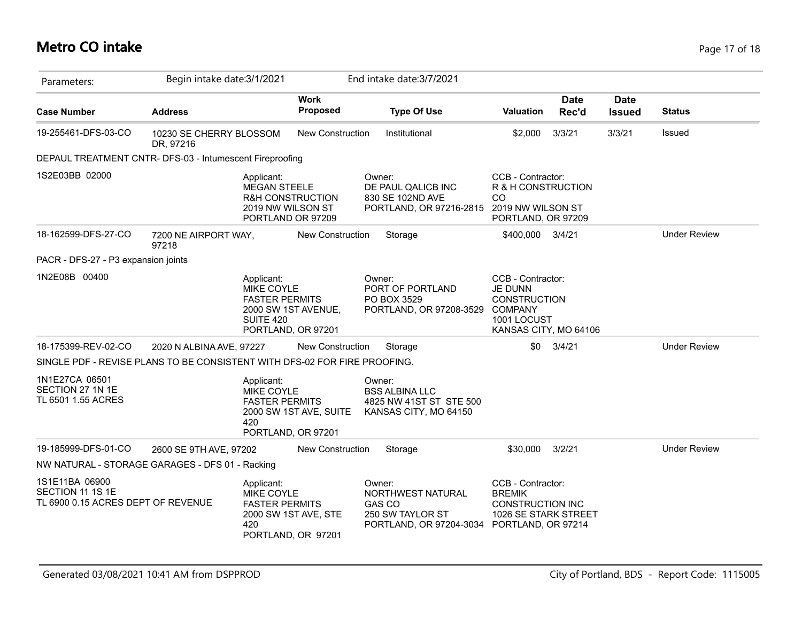# **Metro CO intake** Page 17 of 18

| Parameters:                                                               | Begin intake date: 3/1/2021          |                                                                                                                    |                                | End intake date: 3/7/2021                                                                                      |                                                                                                                      |                      |                              |                     |
|---------------------------------------------------------------------------|--------------------------------------|--------------------------------------------------------------------------------------------------------------------|--------------------------------|----------------------------------------------------------------------------------------------------------------|----------------------------------------------------------------------------------------------------------------------|----------------------|------------------------------|---------------------|
| <b>Case Number</b>                                                        | <b>Address</b>                       |                                                                                                                    | <b>Work</b><br><b>Proposed</b> | <b>Type Of Use</b>                                                                                             | <b>Valuation</b>                                                                                                     | <b>Date</b><br>Rec'd | <b>Date</b><br><b>Issued</b> | <b>Status</b>       |
| 19-255461-DFS-03-CO                                                       | 10230 SE CHERRY BLOSSOM<br>DR, 97216 |                                                                                                                    | <b>New Construction</b>        | Institutional                                                                                                  | \$2,000                                                                                                              | 3/3/21               | 3/3/21                       | <b>Issued</b>       |
| DEPAUL TREATMENT CNTR- DFS-03 - Intumescent Fireproofing                  |                                      |                                                                                                                    |                                |                                                                                                                |                                                                                                                      |                      |                              |                     |
| 1S2E03BB 02000                                                            |                                      | Applicant:<br><b>MEGAN STEELE</b><br><b>R&amp;H CONSTRUCTION</b><br>2019 NW WILSON ST<br>PORTLAND OR 97209         |                                | Owner:<br>DE PAUL QALICB INC<br>830 SE 102ND AVE<br>PORTLAND, OR 97216-2815                                    | CCB - Contractor:<br>R & H CONSTRUCTION<br>CO<br>2019 NW WILSON ST<br>PORTLAND, OR 97209                             |                      |                              |                     |
| 18-162599-DFS-27-CO                                                       | 7200 NE AIRPORT WAY,<br>97218        |                                                                                                                    | New Construction               | Storage                                                                                                        | \$400,000                                                                                                            | 3/4/21               |                              | <b>Under Review</b> |
| PACR - DFS-27 - P3 expansion joints                                       |                                      |                                                                                                                    |                                |                                                                                                                |                                                                                                                      |                      |                              |                     |
| 1N2E08B 00400                                                             |                                      | Applicant:<br><b>MIKE COYLE</b><br><b>FASTER PERMITS</b><br>2000 SW 1ST AVENUE,<br>SUITE 420<br>PORTLAND, OR 97201 |                                | Owner:<br>PORT OF PORTLAND<br>PO BOX 3529<br>PORTLAND, OR 97208-3529                                           | CCB - Contractor:<br><b>JE DUNN</b><br><b>CONSTRUCTION</b><br><b>COMPANY</b><br>1001 LOCUST<br>KANSAS CITY, MO 64106 |                      |                              |                     |
| 18-175399-REV-02-CO                                                       | 2020 N ALBINA AVE, 97227             |                                                                                                                    | <b>New Construction</b>        | Storage                                                                                                        | \$0                                                                                                                  | 3/4/21               |                              | <b>Under Review</b> |
| SINGLE PDF - REVISE PLANS TO BE CONSISTENT WITH DFS-02 FOR FIRE PROOFING. |                                      |                                                                                                                    |                                |                                                                                                                |                                                                                                                      |                      |                              |                     |
| 1N1E27CA 06501<br>SECTION 27 1N 1E<br>TL 6501 1.55 ACRES                  |                                      | Applicant:<br>MIKE COYLE<br><b>FASTER PERMITS</b><br>420<br>PORTLAND, OR 97201                                     | 2000 SW 1ST AVE, SUITE         | Owner:<br><b>BSS ALBINA LLC</b><br>4825 NW 41ST ST STE 500<br>KANSAS CITY, MO 64150                            |                                                                                                                      |                      |                              |                     |
| 19-185999-DFS-01-CO                                                       | 2600 SE 9TH AVE, 97202               |                                                                                                                    | New Construction               | Storage                                                                                                        | \$30,000                                                                                                             | 3/2/21               |                              | <b>Under Review</b> |
| NW NATURAL - STORAGE GARAGES - DFS 01 - Racking                           |                                      |                                                                                                                    |                                |                                                                                                                |                                                                                                                      |                      |                              |                     |
| 1S1E11BA 06900<br>SECTION 11 1S 1E<br>TL 6900 0.15 ACRES DEPT OF REVENUE  |                                      | Applicant:<br>MIKE COYLE<br><b>FASTER PERMITS</b><br>420<br>PORTLAND, OR 97201                                     | 2000 SW 1ST AVE, STE           | Owner:<br>NORTHWEST NATURAL<br><b>GAS CO</b><br>250 SW TAYLOR ST<br>PORTLAND, OR 97204-3034 PORTLAND, OR 97214 | CCB - Contractor:<br><b>BREMIK</b><br><b>CONSTRUCTION INC</b><br>1026 SE STARK STREET                                |                      |                              |                     |